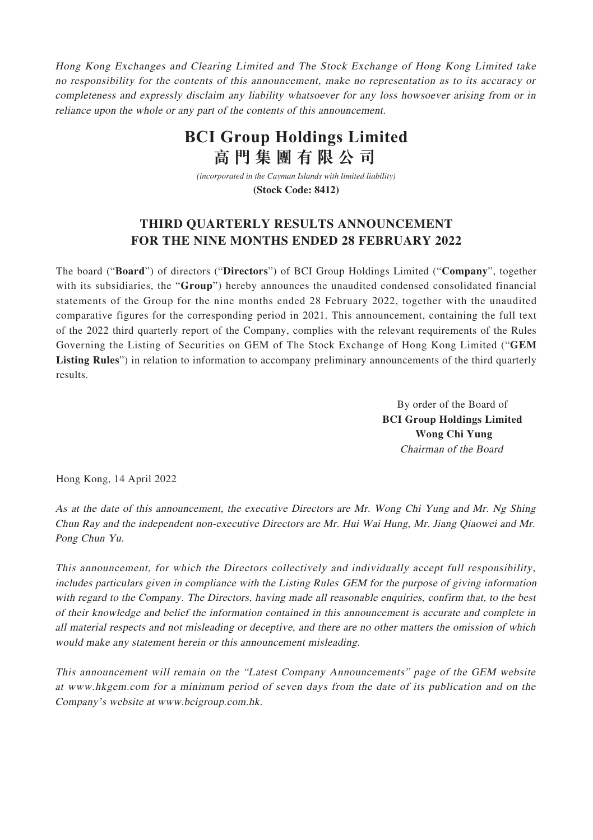Hong Kong Exchanges and Clearing Limited and The Stock Exchange of Hong Kong Limited take no responsibility for the contents of this announcement, make no representation as to its accuracy or completeness and expressly disclaim any liability whatsoever for any loss howsoever arising from or in reliance upon the whole or any part of the contents of this announcement.

## **BCI Group Holdings Limited 高門集團有限公司**

*(incorporated in the Cayman Islands with limited liability)*

**(Stock Code: 8412)**

### **THIRD QUARTERLY RESULTS ANNOUNCEMENT FOR THE NINE MONTHS ENDED 28 FEBRUARY 2022**

The board ("**Board**") of directors ("**Directors**") of BCI Group Holdings Limited ("**Company**", together with its subsidiaries, the "**Group**") hereby announces the unaudited condensed consolidated financial statements of the Group for the nine months ended 28 February 2022, together with the unaudited comparative figures for the corresponding period in 2021. This announcement, containing the full text of the 2022 third quarterly report of the Company, complies with the relevant requirements of the Rules Governing the Listing of Securities on GEM of The Stock Exchange of Hong Kong Limited ("**GEM Listing Rules**") in relation to information to accompany preliminary announcements of the third quarterly results.

> By order of the Board of **BCI Group Holdings Limited Wong Chi Yung** Chairman of the Board

Hong Kong, 14 April 2022

As at the date of this announcement, the executive Directors are Mr. Wong Chi Yung and Mr. Ng Shing Chun Ray and the independent non-executive Directors are Mr. Hui Wai Hung, Mr. Jiang Qiaowei and Mr. Pong Chun Yu.

This announcement, for which the Directors collectively and individually accept full responsibility, includes particulars given in compliance with the Listing Rules GEM for the purpose of giving information with regard to the Company. The Directors, having made all reasonable enquiries, confirm that, to the best of their knowledge and belief the information contained in this announcement is accurate and complete in all material respects and not misleading or deceptive, and there are no other matters the omission of which would make any statement herein or this announcement misleading.

This announcement will remain on the "Latest Company Announcements" page of the GEM website at www.hkgem.com for a minimum period of seven days from the date of its publication and on the Company's website at www.bcigroup.com.hk.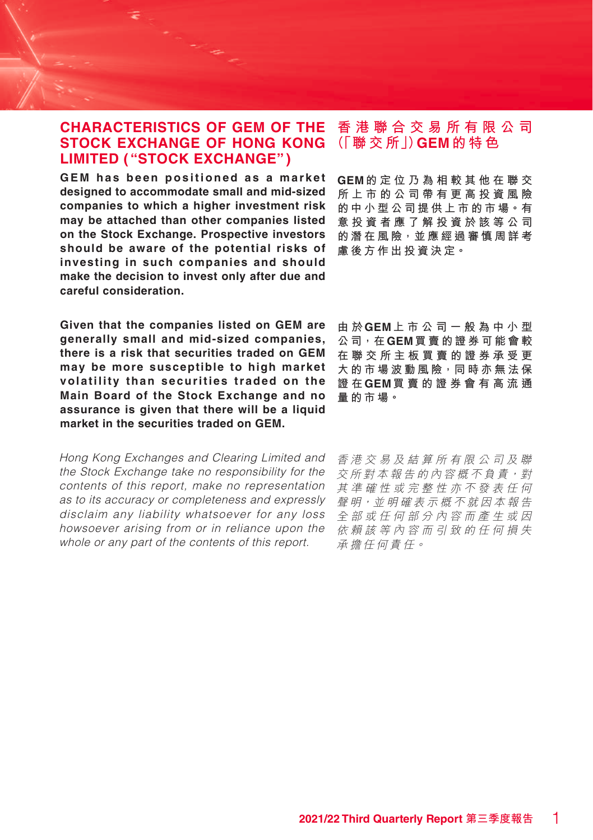### **CHARACTERISTICS OF GEM OF THE STOCK EXCHANGE OF HONG KONG LIMITED ( "STOCK EXCHANGE")**

**GEM has been positioned as a market designed to accommodate small and mid-sized companies to which a higher investment risk may be attached than other companies listed on the Stock Exchange. Prospective investors should be aware of the potential risks of investing in such companies and should make the decision to invest only after due and careful consideration.**

**Given that the companies listed on GEM are generally small and mid-sized companies, there is a risk that securities traded on GEM may be more susceptible to high market volatility than securities traded on the Main Board of the Stock Exchange and no assurance is given that there will be a liquid market in the securities traded on GEM.**

Hong Kong Exchanges and Clearing Limited and the Stock Exchange take no responsibility for the contents of this report, make no representation as to its accuracy or completeness and expressly disclaim any liability whatsoever for any loss howsoever arising from or in reliance upon the whole or any part of the contents of this report.

## **香港聯合交易所有限公司 (「聯 交 所」)GEM的特色**

**GEM的定位乃為相較其他在聯交 所上市的公司帶有更高投資風險 的中小型公司提供上市的市場。有 意投資者應了解投資於該等公司 的潛在風險,並應經過審慎周詳考 慮後方作出投資決定。**

**由 於GEM上市公司一般為中小型 公司,在GEM買賣的證券可能會較 在聯交所主板買賣的證券承受更 大的市場波動風險,同時亦無法保 證 在GEM買賣的證券會有高流通 量的市場。**

香港交易及結算所有限公司及聯 交所對本報告的內容概不負責,對 其準確性或完整性亦不發表任何 聲明,並明確表示概不就因本報告 全部或任何部分內容而產生或因 依賴該等內容而引致的任何損失 承擔任何責任。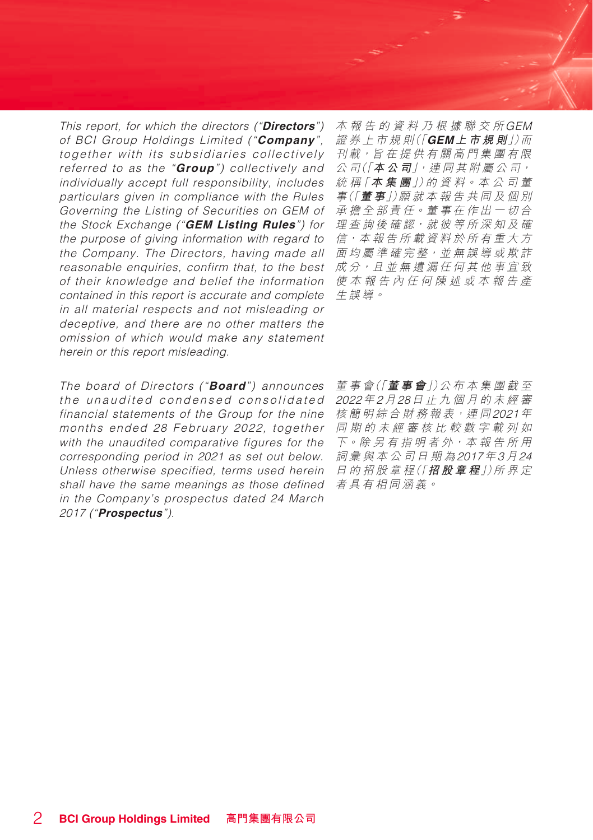This report, for which the directors ("**Directors**") of BCI Group Holdings Limited ("**Company**", together with its subsidiaries collectively referred to as the "**Group**") collectively and individually accept full responsibility, includes particulars given in compliance with the Rules Governing the Listing of Securities on GEM of the Stock Exchange ("**GEM Listing Rules**") for the purpose of giving information with regard to the Company. The Directors, having made all reasonable enquiries, confirm that, to the best of their knowledge and belief the information contained in this report is accurate and complete in all material respects and not misleading or deceptive, and there are no other matters the omission of which would make any statement herein or this report misleading.

The board of Directors ("**Board**") announces the unaudited condensed consolidated financial statements of the Group for the nine months ended 28 February 2022, together with the unaudited comparative figures for the corresponding period in 2021 as set out below. Unless otherwise specified, terms used herein shall have the same meanings as those defined in the Company's prospectus dated 24 March 2017 ("**Prospectus**").

本報告的資料乃根據聯交所GEM 證 券 上 市 規 則(「**GEM上市規則**」)而 刊載,旨在提供有關高門集團有限 公 司(「**本公司**」,連 同 其 附 屬 公 司, 統 稱「**本集團**」)的 資 料。本 公 司 董 事(「**董 事**」)願 就 本 報 告 共 同 及 個 別 承擔全部責任。董事在作出一切合 理查詢後確認,就彼等所深知及確 信,本報告所載資料於所有重大方 面均屬準確完整,並無誤導或欺詐 成分,且並無遺漏任何其他事宜致 使本報告內任何陳述或本報告產 生誤導。

董 事 會(「**董事會**」)公 布 本集團截至 2022年2月28日止九個月的未經審 核簡明綜合財務報表, 連同2021年 同期的未經審核比較數字載列如 下。除 另 有 指 明 者 外,本 報 告 所 用 詞彙與本公司日期為2017年3月24 日 的 招 股 章 程(「**招股章程**」)所 界 定 者具有相同涵義。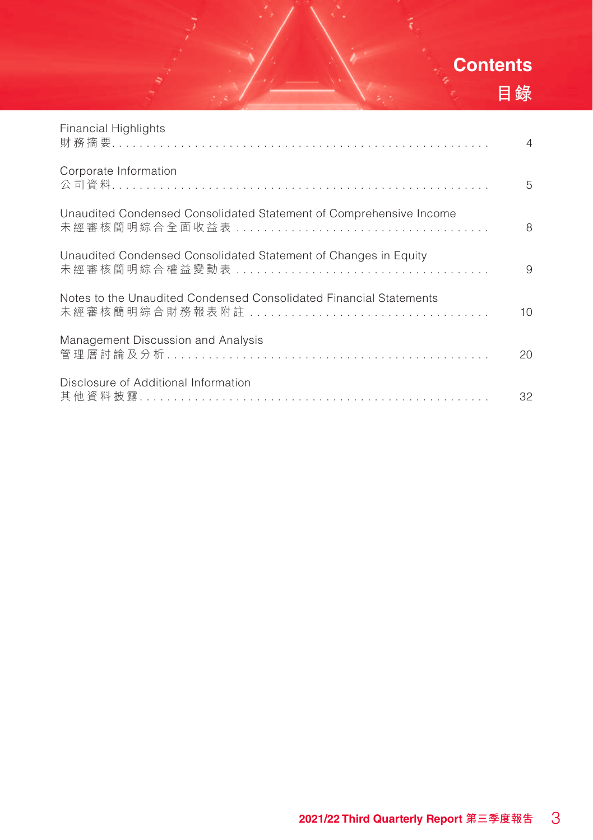# **Contents 目錄**

| <b>Financial Highlights</b>                                        | $\overline{4}$ |
|--------------------------------------------------------------------|----------------|
| Corporate Information                                              | 5              |
| Unaudited Condensed Consolidated Statement of Comprehensive Income | 8              |
| Unaudited Condensed Consolidated Statement of Changes in Equity    | 9              |
| Notes to the Unaudited Condensed Consolidated Financial Statements | 10             |
| Management Discussion and Analysis                                 | 20             |
| Disclosure of Additional Information                               | 32             |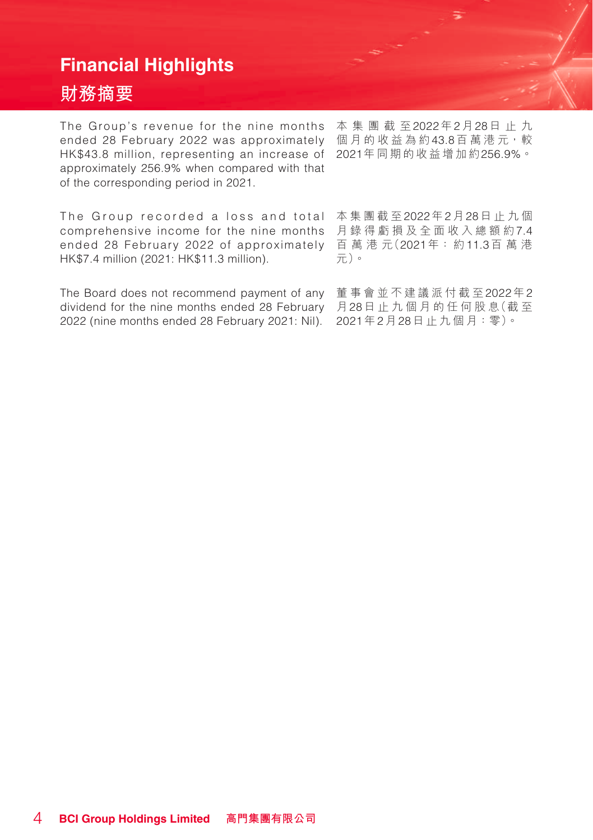## **Financial Highlights**

## **財務摘要**

The Group's revenue for the nine months 本集團截至2022年2月28日止九 ended 28 February 2022 was approximately 個月的收益為約43.8百萬港元<sup>,</sup>較 HK\$43.8 million, representing an increase of 2021年同期的收益增加約256.9%。 approximately 256.9% when compared with that of the corresponding period in 2021.

The Group recorded a loss and total 本集團截至2022年2月28日止九個 comprehensive income for the nine months 月錄得虧損及全面收入總額約7.4 ended 28 February 2022 of approximately 百萬港元(2021年: 約11.3百萬港 HK\$7.4 million (2021: HK\$11.3 million).

The Board does not recommend payment of any 董事會並不建議派付截至2022年2 dividend for the nine months ended 28 February 月28日止九個月的任何股息(截至 2022 (nine months ended 28 February 2021: Nil).



元)。

2021年2月28日止九個月:零)。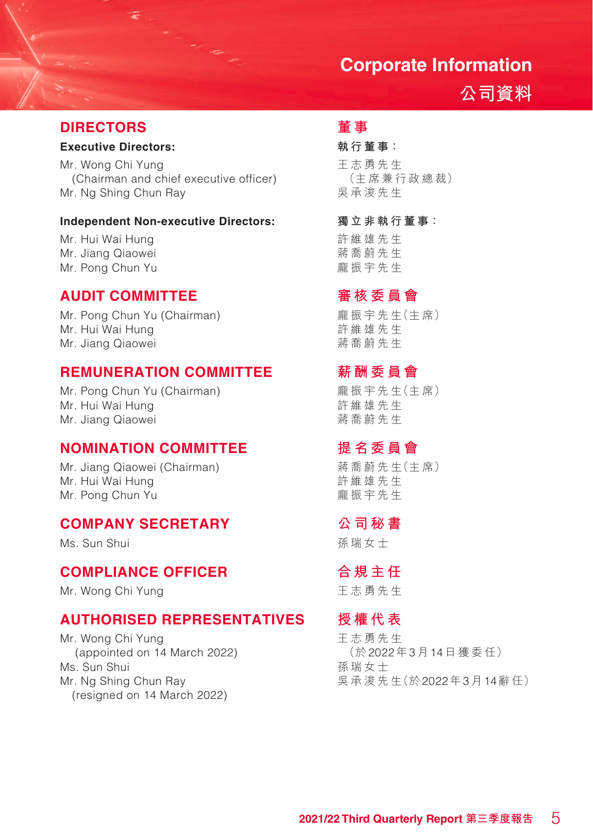## **Corporate Information**

## **公司資料**

## **DIRECTORS**

### **Executive Directors:**

Mr. Wong Chi Yung (Chairman and chief executive officer) Mr. Ng Shing Chun Ray

#### **Independent Non-executive Directors:**

Mr. Hui Wai Hung Mr. Jiang Qiaowei Mr. Pong Chun Yu

### **AUDIT COMMITTEE**

Mr. Pong Chun Yu (Chairman) Mr. Hui Wai Hung Mr. Jiang Qiaowei

### **REMUNERATION COMMITTEE**

Mr. Pong Chun Yu (Chairman) Mr. Hui Wai Hung Mr. Jiang Qiaowei

### **NOMINATION COMMITTEE**

Mr. Jiang Qiaowei (Chairman) Mr. Hui Wai Hung Mr. Pong Chun Yu

## **COMPANY SECRETARY**

Ms. Sun Shui

### **COMPLIANCE OFFICER**

Mr. Wong Chi Yung

### **AUTHORISED REPRESENTATIVES**

Mr. Wong Chi Yung (appointed on 14 March 2022) Ms. Sun Shui Mr. Ng Shing Chun Ray (resigned on 14 March 2022)

## **董 事**

### **執行董事:**

王 志 勇 先 生 (主席兼 行政總裁) 吳承浚先生

**獨立非執行董事:**

許維雄先生 蔣喬蔚先生 龐振宇先生

### **審核委員會**

龐 振 宇 先 生(主 席) 許維雄先生 蔣喬蔚先生

### **薪酬委員會**

龐 振 宇 先 生(主 席) 許維雄先生 蔣喬蔚先生

## **提名委員會**

蔣 喬 蔚 先 生(主 席) 許維雄先生 龐振宇先生

### **公司秘書**

孫瑞女士

### **合規主任**

王志勇 先 生

### **授權代表**

王志勇 先 生 (於2022年3月14日獲委任) 孫瑞女士 吳承浚 先 生(於2022年3月14辭任)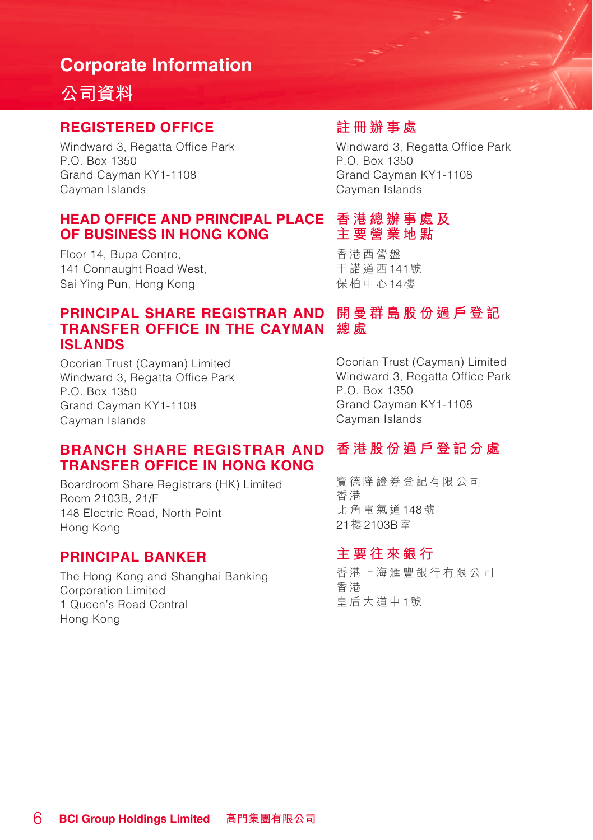## **Corporate Information**

## **公司資料**

### **REGISTERED OFFICE**

Windward 3, Regatta Office Park P.O. Box 1350 Grand Cayman KY1-1108 Cayman Islands

### **HEAD OFFICE AND PRINCIPAL PLACE OF BUSINESS IN HONG KONG**

Floor 14, Bupa Centre, 141 Connaught Road West Sai Ying Pun, Hong Kong

## **註冊辦事處**

Windward 3, Regatta Office Park P.O. Box 1350 Grand Cayman KY1-1108 Cayman Islands

### **香港總辦事處及 主要營業地點**

香港西營盤 干諾道西141號 保柏中心14樓

### PRINCIPAL SHARE REGISTRAR AND  開曼群島股份過戶登記 **總 處 TRANSFER OFFICE IN THE CAYMAN ISLANDS**

Ocorian Trust (Cayman) Limited Windward 3, Regatta Office Park P.O. Box 1350 Grand Cayman KY1-1108 Cayman Islands

Ocorian Trust (Cayman) Limited Windward 3, Regatta Office Park P.O. Box 1350 Grand Cayman KY1-1108 Cayman Islands

#### **香港股份過戶登記分處 BRANCH SHARE REGISTRAR AND TRANSFER OFFICE IN HONG KONG**

Boardroom Share Registrars (HK) Limited Room 2103B, 21/F 148 Electric Road, North Point Hong Kong

### **PRINCIPAL BANKER**

The Hong Kong and Shanghai Banking Corporation Limited 1 Queen's Road Central Hong Kong

寶德隆證券登記有限公司 香 港 北角電氣道148號 21樓2103B室

## **主要往來銀行**

香港上海滙豐銀行有限公司 香 港 皇后大道中1號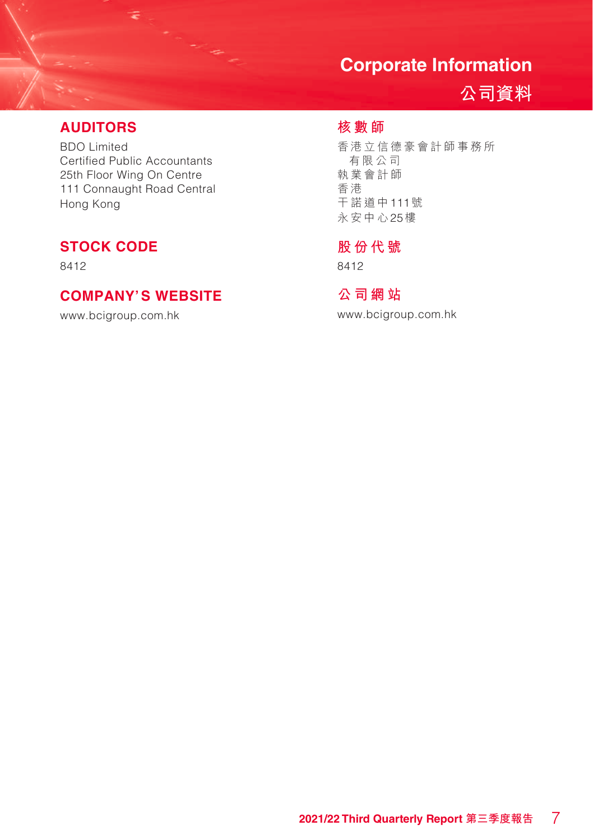## **Corporate Information**

**公司資料**

### **AUDITORS**

BDO Limited Certified Public Accountants 25th Floor Wing On Centre 111 Connaught Road Central Hong Kong

## **STOCK CODE**

8412

## **COMPANY'S WEBSITE**

www.bcigroup.com.hk

## **核數師**

香港立信德豪會計師事務所 有限公司 執業會計師 香 港 干諾道中111號 永安中心25樓

## **股份代號**

8412

## **公司網站**

www.bcigroup.com.hk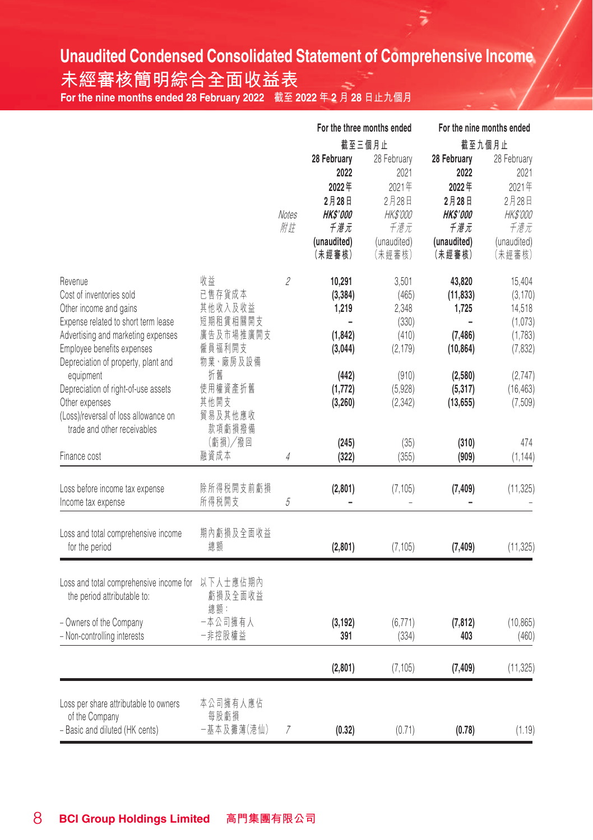## **Unaudited Condensed Consolidated Statement of Comprehensive Income**

÷

**未經審核簡明綜合全面收益表**  $\frac{1}{\sqrt{N}}$  **For the nine months ended 28 February 2022** 截至 2022 年 2 月 28 日止九個月

|                                                                                                                                                                                                                                                                                                                               |                                                                                                            |             | For the three months ended                                                                          |                                                                                          |                                                                                                             | For the nine months ended                                                                         |
|-------------------------------------------------------------------------------------------------------------------------------------------------------------------------------------------------------------------------------------------------------------------------------------------------------------------------------|------------------------------------------------------------------------------------------------------------|-------------|-----------------------------------------------------------------------------------------------------|------------------------------------------------------------------------------------------|-------------------------------------------------------------------------------------------------------------|---------------------------------------------------------------------------------------------------|
|                                                                                                                                                                                                                                                                                                                               |                                                                                                            |             | 截至三個月止                                                                                              |                                                                                          |                                                                                                             | 截至九個月止                                                                                            |
|                                                                                                                                                                                                                                                                                                                               |                                                                                                            | Notes<br>附註 | 28 February<br>2022<br>2022年<br>2月28日<br><b>HKS'000</b><br>千港元<br>(unaudited)<br>(未經審核)             | 28 February<br>2021<br>2021年<br>2月28日<br><i>HK\$'000</i><br>千港元<br>(unaudited)<br>(未經審核) | 28 February<br>2022<br>2022年<br>2月28日<br><b>HKS'000</b><br>千港元<br>(unaudited)<br>(未經審核)                     | 28 February<br>2021<br>2021年<br>2月28日<br><i>HK\$'000</i><br>千港元<br>(unaudited)<br>(未經審核)          |
| Revenue<br>Cost of inventories sold<br>Other income and gains<br>Expense related to short term lease<br>Advertising and marketing expenses<br>Employee benefits expenses<br>Depreciation of property, plant and<br>equipment<br>Depreciation of right-of-use assets<br>Other expenses<br>(Loss)/reversal of loss allowance on | 收益<br>已售存貨成本<br>其他收入及收益<br>短期租賃相關開支<br>廣告及市場推廣開支<br>僱員福利開支<br>物業、廠房及設備<br>折舊<br>使用權資產折舊<br>其他開支<br>貿易及其他應收 | 2           | 10,291<br>(3, 384)<br>1.219<br>$\overline{a}$<br>(1, 842)<br>(3,044)<br>(442)<br>(1,772)<br>(3,260) | 3,501<br>(465)<br>2.348<br>(330)<br>(410)<br>(2, 179)<br>(910)<br>(5,928)<br>(2, 342)    | 43,820<br>(11, 833)<br>1.725<br>$\overline{a}$<br>(7, 486)<br>(10, 864)<br>(2,580)<br>(5, 317)<br>(13, 655) | 15,404<br>(3, 170)<br>14,518<br>(1,073)<br>(1,783)<br>(7, 832)<br>(2,747)<br>(16, 463)<br>(7,509) |
| trade and other receivables<br>Finance cost                                                                                                                                                                                                                                                                                   | 款項虧損撥備<br>(虧損)/撥回<br>融資成本                                                                                  | 4           | (245)<br>(322)                                                                                      | (35)<br>(355)                                                                            | (310)<br>(909)                                                                                              | 474<br>(1, 144)                                                                                   |
| Loss before income tax expense<br>Income tax expense                                                                                                                                                                                                                                                                          | 除所得税開支前虧損<br>所得税開支                                                                                         | 5           | (2,801)                                                                                             | (7, 105)                                                                                 | (7, 409)                                                                                                    | (11, 325)                                                                                         |
| Loss and total comprehensive income<br>for the period                                                                                                                                                                                                                                                                         | 期內虧損及全面收益<br>總額                                                                                            |             | (2,801)                                                                                             | (7, 105)                                                                                 | (7, 409)                                                                                                    | (11, 325)                                                                                         |
| Loss and total comprehensive income for<br>the period attributable to:<br>- Owners of the Company<br>- Non-controlling interests                                                                                                                                                                                              | 以下人士應佔期內<br>虧損及全面收益<br>總額:<br>一本公司擁有人<br>一非控股權益                                                            |             | (3, 192)<br>391                                                                                     | (6, 771)<br>(334)                                                                        | (7, 812)<br>403                                                                                             | (10, 865)<br>(460)                                                                                |
|                                                                                                                                                                                                                                                                                                                               |                                                                                                            |             | (2,801)                                                                                             | (7, 105)                                                                                 | (7, 409)                                                                                                    | (11, 325)                                                                                         |
| Loss per share attributable to owners<br>of the Company<br>- Basic and diluted (HK cents)                                                                                                                                                                                                                                     | 本公司擁有人應佔<br>每股虧損<br>-基本及攤薄(港仙)                                                                             | 7           | (0.32)                                                                                              | (0.71)                                                                                   | (0.78)                                                                                                      | (1.19)                                                                                            |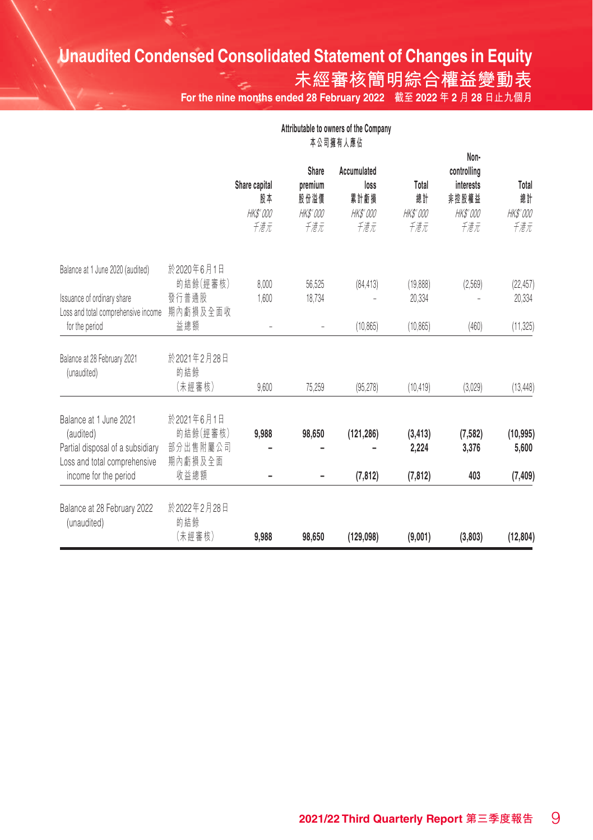# **Unaudited Condensed Consolidated Statement of Changes in Equity**

**未經審核簡明綜合權益變動表**

**For the nine months ended 28 February 2022 截至 2022 年 2 月 28 日止九個月**

|                                                                                                         | Attributable to owners of the Company<br>本公司擁有人應佔 |                                               |                                                    |                                                       |                                       |                                                                     |                                       |
|---------------------------------------------------------------------------------------------------------|---------------------------------------------------|-----------------------------------------------|----------------------------------------------------|-------------------------------------------------------|---------------------------------------|---------------------------------------------------------------------|---------------------------------------|
|                                                                                                         |                                                   | Share capital<br>股本<br><b>HK\$'000</b><br>千港元 | Share<br>premium<br>股份溢價<br><i>HK\$'000</i><br>千港元 | Accumulated<br>loss<br>累計虧損<br><i>HK\$'000</i><br>千港元 | Total<br>總計<br><b>HK\$'000</b><br>千港元 | Non-<br>controlling<br>interests<br>非控股權益<br><b>HK\$'000</b><br>千港元 | Total<br>總計<br><b>HK\$'000</b><br>千港元 |
| Balance at 1 June 2020 (audited)<br>Issuance of ordinary share                                          | 於2020年6月1日<br>的結餘(經審核)<br>發行普通股                   | 8,000<br>1,600                                | 56,525<br>18.734                                   | (84, 413)                                             | (19,888)<br>20.334                    | (2.569)                                                             | (22, 457)<br>20,334                   |
| Loss and total comprehensive income<br>for the period                                                   | 期內虧損及全面收<br>益總額                                   | $\overline{a}$                                | ÷,                                                 | (10.865)                                              | (10.865)                              | (460)                                                               | (11, 325)                             |
| Balance at 28 February 2021<br>(unaudited)                                                              | 於2021年2月28日<br>的結餘<br>(未經審核)                      | 9,600                                         | 75,259                                             | (95, 278)                                             | (10.419)                              | (3.029)                                                             | (13, 448)                             |
| Balance at 1 June 2021<br>(audited)<br>Partial disposal of a subsidiary<br>Loss and total comprehensive | 於2021年6月1日<br>的結餘(經審核)<br>部分出售附屬公司<br>期內虧損及全面     | 9,988                                         | 98,650                                             | (121, 286)                                            | (3, 413)<br>2,224                     | (7, 582)<br>3,376                                                   | (10, 995)<br>5,600                    |
| income for the period<br>Balance at 28 February 2022<br>(unaudited)                                     | 收益總額<br>於2022年2月28日<br>的結餘                        |                                               |                                                    | (7, 812)                                              | (7, 812)                              | 403                                                                 | (7, 409)                              |
|                                                                                                         | (未經審核)                                            | 9,988                                         | 98.650                                             | (129,098)                                             | (9,001)                               | (3,803)                                                             | (12, 804)                             |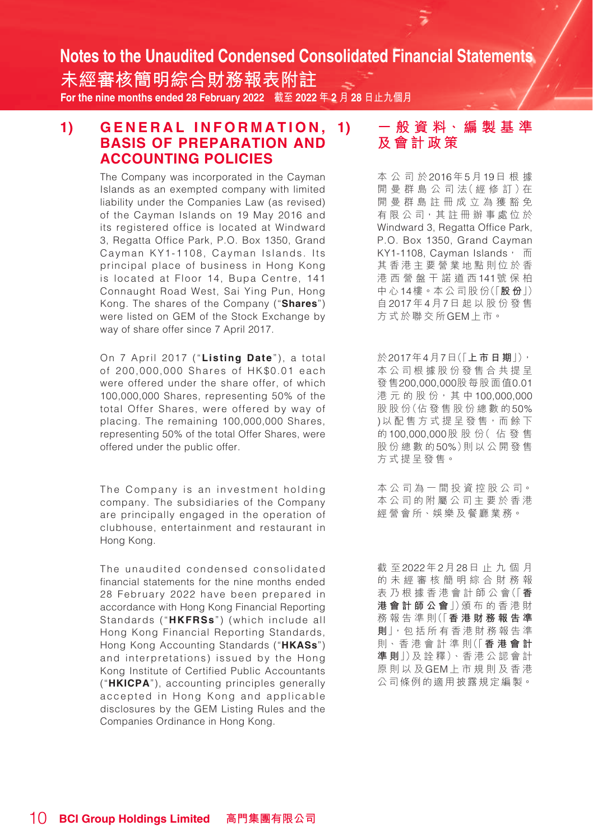**未經審核簡明綜合財務報表附註 For the nine months ended 28 February 2022 截至 2022 年 2 月 28 日止九個月**

### 1) GENERAL INFORMATION, 1) **BASIS OF PREPARATION AND ACCOUNTING POLICIES**

The Company was incorporated in the Cayman Islands as an exempted company with limited liability under the Companies Law (as revised) of the Cayman Islands on 19 May 2016 and its registered office is located at Windward 3, Regatta Office Park, P.O. Box 1350, Grand Cayman KY1-1108, Cayman Islands. Its principal place of business in Hong Kong is located at Floor 14, Bupa Centre, 141 Connaught Road West, Sai Ying Pun, Hong Kong. The shares of the Company ("**Shares**") were listed on GEM of the Stock Exchange by way of share offer since 7 April 2017.

On 7 April 2017 ("**Listing Date**"), a total of 200,000,000 Shares of HK\$0.01 each were offered under the share offer, of which 100,000,000 Shares, representing 50% of the total Offer Shares, were offered by way of placing. The remaining 100,000,000 Shares, representing 50% of the total Offer Shares, were offered under the public offer.

The Company is an investment holding company. The subsidiaries of the Company are principally engaged in the operation of clubhouse, entertainment and restaurant in Hong Kong.

The unaudited condensed consolidated financial statements for the nine months ended 28 February 2022 have been prepared in accordance with Hong Kong Financial Reporting Standards ("**HKFRSs**") (which include all Hong Kong Financial Reporting Standards, Hong Kong Accounting Standards ("**HKASs**") and interpretations) issued by the Hong Kong Institute of Certified Public Accountants ("**HKICPA**"), accounting principles generally accepted in Hong Kong and applicable disclosures by the GEM Listing Rules and the Companies Ordinance in Hong Kong.

## **1) 一 般 資 料、編 製 基 準 及會計政策**

本公司於2016年5月19日根據 開 曼 群 島 公 司 法( 經 修 訂 )在 開曼群島註冊成立為獲豁免 有 限 公 司,其 註 冊 辦 事 處 位 於 Windward 3, Regatta Office Park, P.O. Box 1350, Grand Cayman KY1-1108 Cayman Islands, 而 其香港主要營業地點則位於香 港西營盤干諾道西141號保柏 中 心14樓。本 公 司 股 份(「**股 份**」) 自2017年4月7日起以股份發售 方式於聯交所GEM上市。

於2017年4月7日(「**上市日期**」), 本公司根據股份發售合共提呈 發售200,000,000股每股面值0.01 港元的股份,其中100,000,000 股 股 份(佔 發 售 股 份 總 數 的50% )以 配 售 方 式 提 呈 發 售, 而 餘 下 的100,000,000股 股 份( 佔發售 股份總數的50%)則以公開發售 方式提呈發售。

本 公 司 為 一 間 投 資 控 股 公 司。 本公司的附屬公司主要於香港 經營會所、娛樂及餐廳業務。

截 至2022年2月28日止九個月 的未經審核簡明綜合財務報 表 乃 根 據 香 港 會 計 師 公 會(「**香 港會計師公會**」)頒 布 的香港財 務 報 告 準 則(「**香港財務報告準 則**」,包 括 所 有 香 港 財 務 報 告 準 則、香 港 會 計 準 則(「**香港會計 準 則**」)及 詮 釋)、香 港 公 認 會 計 原則以及GEM上市規則及香港 公司條例的適用披露規定編製。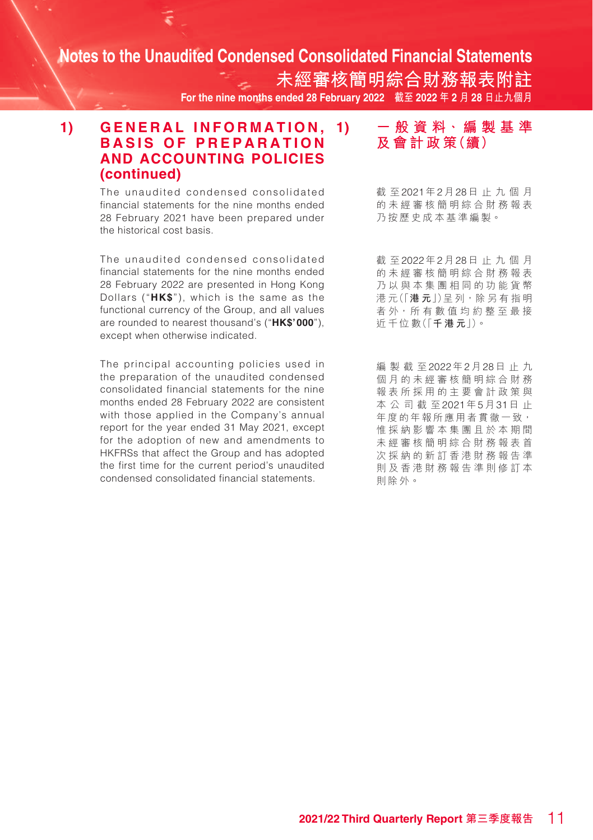**未經審核簡明綜合財務報表附註 For the nine months ended 28 February 2022 截至 2022 年 2 月 28 日止九個月**

### 1) GENERAL INFORMATION. 1) **BASIS OF PREPARATION AND ACCOUNTING POLICIES (continued)**

The unaudited condensed consolidated financial statements for the nine months ended 28 February 2021 have been prepared under the historical cost basis.

The unaudited condensed consolidated financial statements for the nine months ended 28 February 2022 are presented in Hong Kong Dollars ("**HK\$**"), which is the same as the functional currency of the Group, and all values are rounded to nearest thousand's ("**HK\$'000**"), except when otherwise indicated.

The principal accounting policies used in the preparation of the unaudited condensed consolidated financial statements for the nine months ended 28 February 2022 are consistent with those applied in the Company's annual report for the year ended 31 May 2021, except for the adoption of new and amendments to HKFRSs that affect the Group and has adopted the first time for the current period's unaudited condensed consolidated financial statements.

**1) 一 般 資 料、編 製 基 準 及 會 計 政 策(續)**

截 至2021年2月28日止九個月 的未經審核簡明綜合財務報表 乃按歷史成本基準編製。

截 至2022年2月28日止九個月 的未經審核簡明綜合財務報表 乃以與本集團相同的功能貨幣 港 元(「**港 元**」)呈 列,除 另 有 指 明 者 外, 所 有 數 值 均 約 整 至 最 接 近 千 位 數(「**千港元**」)。

編製截至2022年2月28日止九 個月的未經審核簡明綜合財務 報表所採用的主要會計政策與 本公司截至2021年5月31日 止 年度的年報所應用者貫徹一致, 惟採納影響本集團且於本期間 未經審核簡明綜合財務報表首 次採納的新訂香港財務報告準 則及香港財務報告準則修訂本 則除外。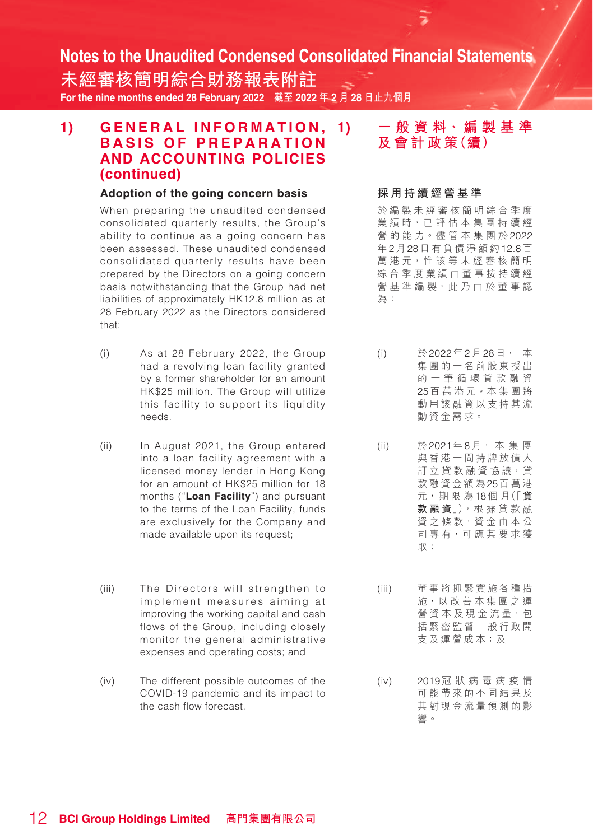**未經審核簡明綜合財務報表附註 For the nine months ended 28 February 2022 截至 2022 年 2 月 28 日止九個月**

### 1) GENERAL INFORMATION, 1) **BASIS OF PREPARATION AND ACCOUNTING POLICIES (continued)**

#### **Adoption of the going concern basis**

When preparing the unaudited condensed consolidated quarterly results, the Group's ability to continue as a going concern has been assessed. These unaudited condensed consolidated quarterly results have been prepared by the Directors on a going concern basis notwithstanding that the Group had net liabilities of approximately HK12.8 million as at 28 February 2022 as the Directors considered that:

- (i) As at 28 February 2022, the Group had a revolving loan facility granted by a former shareholder for an amount HK\$25 million. The Group will utilize this facility to support its liquidity needs.
- (ii) In August 2021, the Group entered into a loan facility agreement with a licensed money lender in Hong Kong for an amount of HK\$25 million for 18 months ("**Loan Facility**") and pursuant to the terms of the Loan Facility, funds are exclusively for the Company and made available upon its request;
- (iii) The Directors will strengthen to implement measures aiming at improving the working capital and cash flows of the Group, including closely monitor the general administrative expenses and operating costs; and
- (iv) The different possible outcomes of the COVID-19 pandemic and its impact to the cash flow forecast.

## **1) 一 般 資 料、編 製 基 準 及 會 計 政 策(續)**

#### **採用持續經營基準**

於編製未經審核簡明綜合季度 業績時,已評估本集團持續經 營 的 能 力。儘 管 本 集 團 於2022 年2月28日有負債淨額約12.8百 萬 港 元,惟 該 等 未 經 審 核 簡 明 綜合季度業績由董事按持續經 營 基 準 編 製,此 乃 由 於 董 事 認 為:

- (i) 於2022年2月28日, 本 集團的一名前股東授出 的一筆循環貸款融資 25百 萬 港 元。本 集 團 將 動用該融資以支持其流 動資金需求。
- (ii) 於2021年8月, 本 集 團 與香港一間持牌放債人 訂 立 貸 款 融 資 協 議, 貸 款融資金額為25百萬港 元,期 限 為18個 月(「**貸 款融資**」),根 據 貸 款 融 資之條款,資金由本公 司專有,可應其要求獲 取;
- (iii) 董事將抓緊實施各種措 施,以 改 善 本 集 團 之 運 營 資 本 及 現 金 流 量, 包 括緊密監督一般行政開 支及運營成本;及
- (iv) 2019冠狀病毒病 疫 情 可能帶來的不同結果及 其對現金流量預測的影 響。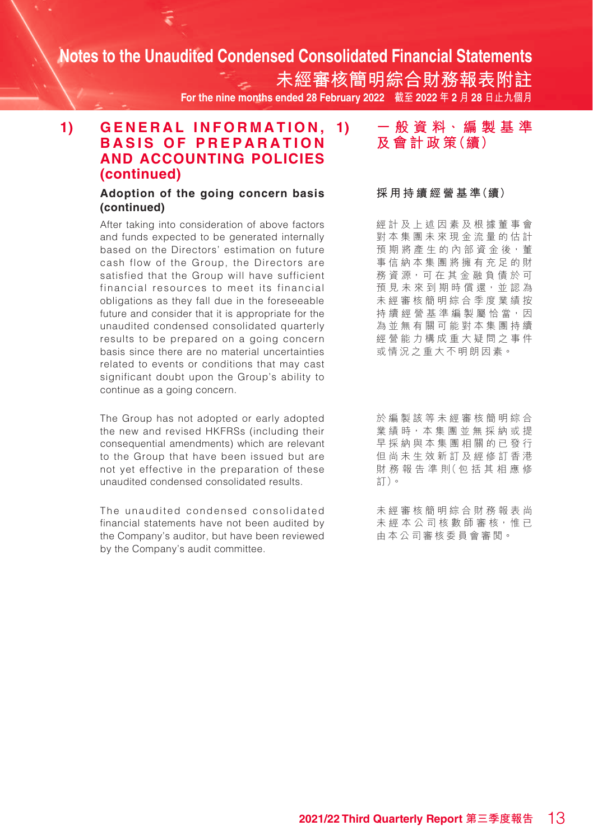**未經審核簡明綜合財務報表附註 For the nine months ended 28 February 2022 截至 2022 年 2 月 28 日止九個月**

### 1) GENERAL INFORMATION. 1) **BASIS OF PREPARATION AND ACCOUNTING POLICIES (continued)**

#### **Adoption of the going concern basis (continued)**

After taking into consideration of above factors and funds expected to be generated internally based on the Directors' estimation on future cash flow of the Group, the Directors are satisfied that the Group will have sufficient financial resources to meet its financial obligations as they fall due in the foreseeable future and consider that it is appropriate for the unaudited condensed consolidated quarterly results to be prepared on a going concern basis since there are no material uncertainties related to events or conditions that may cast significant doubt upon the Group's ability to continue as a going concern.

The Group has not adopted or early adopted the new and revised HKFRSs (including their consequential amendments) which are relevant to the Group that have been issued but are not yet effective in the preparation of these unaudited condensed consolidated results.

The unaudited condensed consolidated financial statements have not been audited by the Company's auditor, but have been reviewed by the Company's audit committee.

### **1) 一 般 資 料、編 製 基 準 及 會 計 政 策(續)**

#### **採 用 持 續 經 營 基 準(續)**

經計及上述因素及根據董事會 對本集團未來現金流量的估計 預 期 將 產 生 的 內 部 資 金 後, 董 事信納本集團將擁有充足的財 務資源,可在其金融負債於可 預 見 未 來 到 期 時 償 還, 並 認 為 未經審核簡明綜合季度業績按 持 續 經 營 基 準 編 製 屬 恰 當,因 為並無有關可能對本集團持續 經營能力構成重大疑問之事件 或情況之重大不明朗因素。

於編製該等未經審核簡明綜合 業績時,本集團並無採納或提 早採納與本集團相關的已發行 但尚未生效新訂及經修訂香港 財 務 報 告 準 則( 包 括 其 相 應 修 訂)。

未經審核簡明綜合財務報表尚 未 經 本 公 司 核 數 師 審 核,惟 已 由本公司審核委員會審閱。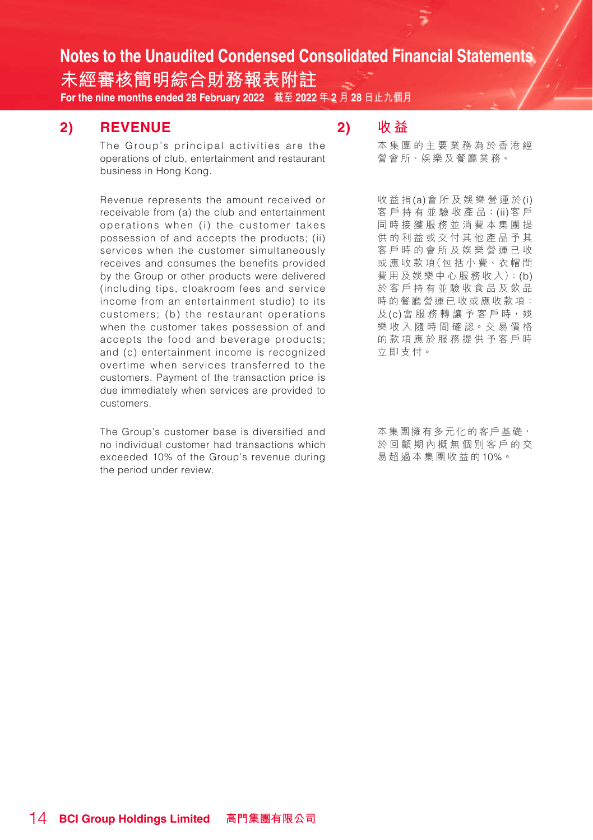**未經審核簡明綜合財務報表附註 For the nine months ended 28 February 2022 截至 2022 年 2 月 28 日止九個月**

### **2) REVENUE**

The Group's principal activities are the operations of club, entertainment and restaurant business in Hong Kong.

Revenue represents the amount received or receivable from (a) the club and entertainment operations when (i) the customer takes possession of and accepts the products; (ii) services when the customer simultaneously receives and consumes the benefits provided by the Group or other products were delivered (including tips, cloakroom fees and service income from an entertainment studio) to its customers; (b) the restaurant operations when the customer takes possession of and accepts the food and beverage products; and (c) entertainment income is recognized overtime when services transferred to the customers. Payment of the transaction price is due immediately when services are provided to customers.

The Group's customer base is diversified and no individual customer had transactions which exceeded 10% of the Group's revenue during the period under review.

## **2) 收 益**

本集團的主要業務為於香港經 營會所、娛樂及餐廳業務。

收益指(a)會所及娛樂營運於(i) 客 戶 持 有 並 驗 收 產 品;(ii)客 戶 同時接獲服務並消費本集團提 供的利益或交付其他產品予其 客戶時的會所及娛樂營運已收 或 應 收 款 項(包 括 小 費、衣 帽 間 費用及娛樂中心服務收入);(b) 於客戶持有並驗收食品及飲品 時的餐廳營運已收或應收款項; 及(c)當服務轉讓予客戶時,娛 樂 收 入 隨 時 間 確 認。交 易 價 格 的款項應於服務提供予客戶時 立即支付。

本集團擁有多元化的客戶基礎, 於回顧期內概無個別客戶的交 易超過本集團收益的10%。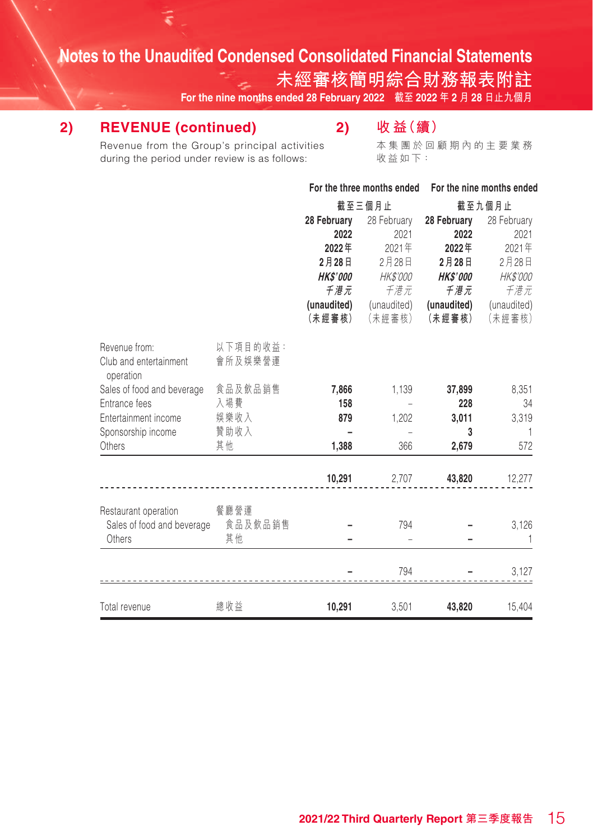**未經審核簡明綜合財務報表附註**

**For the nine months ended 28 February 2022 截至 2022 年 2 月 28 日止九個月**

## **2) REVENUE (continued)**

## **2) 收 益(續)**

Revenue from the Group's principal activities during the period under review is as follows:

本集團於回顧期內的主要業務 收益如下:

**For the three months ended For the nine months ended**

|                                                                      |                     |                | 截至三個月止      |                 | 截至九個月止      |
|----------------------------------------------------------------------|---------------------|----------------|-------------|-----------------|-------------|
|                                                                      |                     | 28 February    | 28 February | 28 February     | 28 February |
|                                                                      |                     | 2022           | 2021        | 2022            | 2021        |
|                                                                      |                     | 2022年          | 2021年       | 2022年           | 2021年       |
|                                                                      |                     | 2月28日          | 2月28日       | 2月28日           | 2月28日       |
|                                                                      |                     | <b>HKS'000</b> | HK\$'000    | <b>HK\$'000</b> | HK\$'000    |
|                                                                      |                     | 千港元            | 千港元         | 千港元             | 千港元         |
|                                                                      |                     | (unaudited)    | (unaudited) | (unaudited)     | (unaudited) |
|                                                                      |                     | (未經審核)         | (未經審核)      | (未經審核)          | (未經審核)      |
| Revenue from:<br>Club and entertainment<br>operation                 | 以下項目的收益:<br>會所及娛樂營運 |                |             |                 |             |
| Sales of food and beverage                                           | 食品及飲品銷售             | 7,866          | 1,139       | 37,899          | 8,351       |
| Entrance fees                                                        | 入場費                 | 158            |             | 228             | 34          |
| Entertainment income                                                 | 娱樂收入                | 879            | 1,202       | 3,011           | 3,319       |
| Sponsorship income                                                   | 贊助收入                |                |             | 3               | -1          |
| Others                                                               | 其他                  | 1,388          | 366         | 2,679           | 572         |
|                                                                      |                     | 10,291         | 2,707       | 43,820          | 12,277      |
| Restaurant operation<br>Sales of food and beverage 食品及飲品銷售<br>Others | 餐廳營運<br>其他          |                | 794         |                 | 3,126       |
|                                                                      |                     |                | 794         |                 | 3,127       |
| Total revenue                                                        | 總收益                 | 10,291         | 3,501       | 43,820          | 15,404      |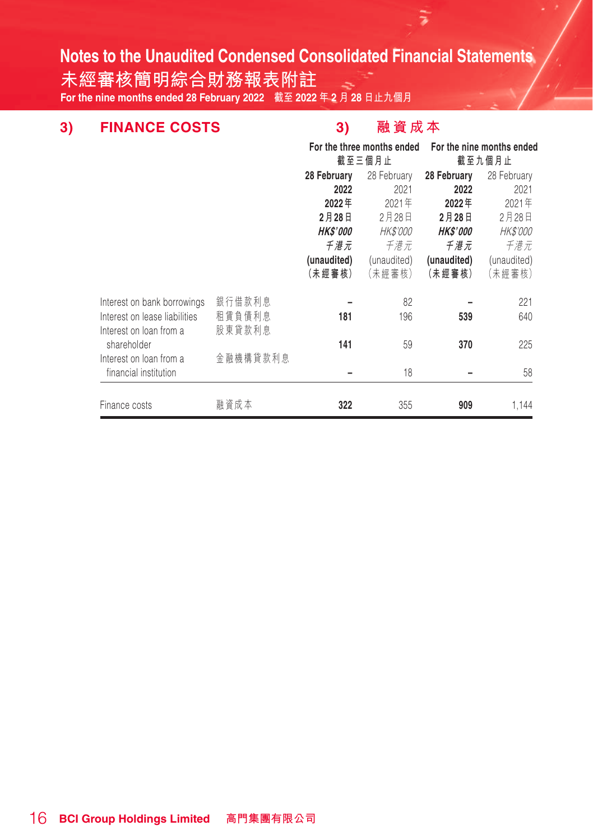**未經審核簡明綜合財務報表附註 For the nine months ended 28 February 2022 截至 2022 年 2 月 28 日止九個月**

## **3) FINANCE COSTS 3) 融資成本**

₹

|                               |          | For the three months ended<br>截至三個月止 |                 |                        | For the nine months ended<br>截至九個月止 |
|-------------------------------|----------|--------------------------------------|-----------------|------------------------|-------------------------------------|
|                               |          | 28 February<br>28 February           |                 | 28 February            | 28 February                         |
|                               |          | 2022                                 | 2021            | 2022                   | 2021                                |
|                               |          | 2022年                                | 2021年           | 2022年                  | 2021年                               |
|                               |          | 2月28日                                | 2月28日           | 2月28日                  | 2月28日                               |
|                               |          | <i><b>HK\$'000</b></i>               | <i>HK\$'000</i> | <i><b>HK\$'000</b></i> | <i>HK\$'000</i>                     |
|                               |          | 千港元                                  | 千港元             | 千港元                    | 千港元                                 |
|                               |          | (unaudited)                          | (unaudited)     | (unaudited)            | (unaudited)                         |
|                               |          | (未經審核)                               | (未經審核)          | (未經審核)                 | (未經審核)                              |
| Interest on bank borrowings   | 銀行借款利息   |                                      | 82              |                        | 221                                 |
| Interest on lease liabilities | 租賃負債利息   | 181                                  | 196             | 539                    | 640                                 |
| Interest on loan from a       | 股東貸款利息   |                                      |                 |                        |                                     |
| shareholder                   |          | 141                                  | 59              | 370                    | 225                                 |
| Interest on loan from a       | 金融機構貸款利息 |                                      |                 |                        |                                     |
| financial institution         |          |                                      | 18              |                        | 58                                  |
| Finance costs                 | 融資成本     | 322                                  | 355             | 909                    | 1,144                               |
|                               |          |                                      |                 |                        |                                     |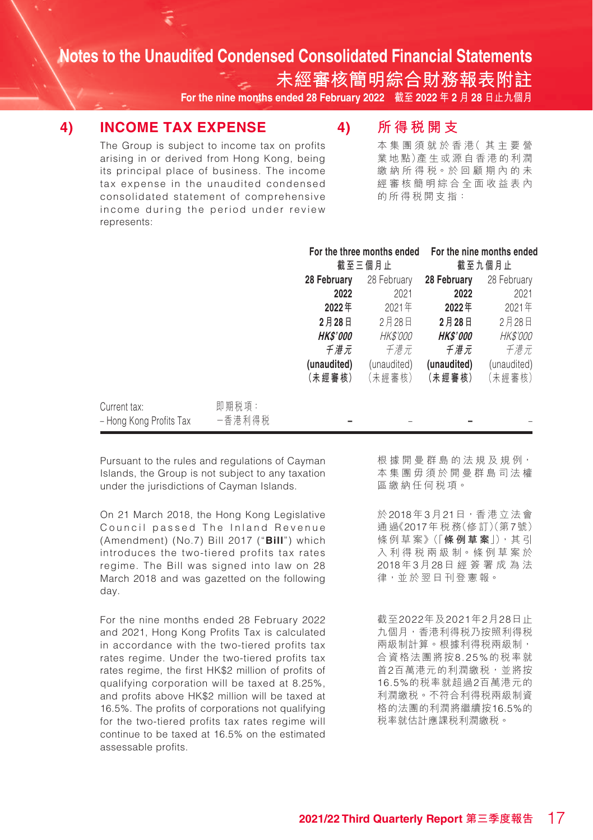**未經審核簡明綜合財務報表附註 For the nine months ended 28 February 2022 截至 2022 年 2 月 28 日止九個月**

### **4) INCOME TAX EXPENSE**

### **4) 所得稅開支**

The Group is subject to income tax on profits arising in or derived from Hong Kong, being its principal place of business. The income tax expense in the unaudited condensed consolidated statement of comprehensive income during the period under review represents:

本 集 團 須 就 於 香 港( 其主要營 業 地 點)產 生 或 源 自 香 港 的 利 潤 繳 納 所 得 稅。於 回 顧 期 內 的 未 經審核簡明綜合全面收益表內 的所得稅開支指:

|                                         |                 |                        | For the three months ended<br>截至三個月止 | For the nine months ended<br>截至九個月止 |                 |  |
|-----------------------------------------|-----------------|------------------------|--------------------------------------|-------------------------------------|-----------------|--|
|                                         |                 | 28 February            | 28 February<br>28 February           |                                     | 28 February     |  |
|                                         |                 | 2022                   | 2021                                 | 2022                                | 2021            |  |
|                                         |                 | 2022年                  | 2021年                                | 2022年                               | 2021年           |  |
|                                         |                 | 2月28日                  | 2月28日                                | 2月28日                               | 2月28日           |  |
|                                         |                 | <i><b>HK\$'000</b></i> | <i>HK\$'000</i>                      | <b>HK\$'000</b>                     | <b>HK\$'000</b> |  |
|                                         |                 | 千港元                    | 千港元                                  | 千港元                                 | 千港元             |  |
|                                         |                 | (unaudited)            | (unaudited)                          | (unaudited)                         | (unaudited)     |  |
|                                         |                 | (未經審核)                 | (未經審核)                               | (未經審核)                              | (未經審核)          |  |
| Current tax:<br>- Hong Kong Profits Tax | 即期税項:<br>一香港利得税 |                        |                                      |                                     |                 |  |

Pursuant to the rules and regulations of Cayman Islands, the Group is not subject to any taxation under the jurisdictions of Cayman Islands.

On 21 March 2018, the Hong Kong Legislative Council passed The Inland Revenue (Amendment) (No.7) Bill 2017 ("**Bill**") which introduces the two-tiered profits tax rates regime. The Bill was signed into law on 28 March 2018 and was gazetted on the following day.

For the nine months ended 28 February 2022 and 2021, Hong Kong Profits Tax is calculated in accordance with the two-tiered profits tax rates regime. Under the two-tiered profits tax rates regime, the first HK\$2 million of profits of qualifying corporation will be taxed at 8.25%, and profits above HK\$2 million will be taxed at 16.5%. The profits of corporations not qualifying for the two-tiered profits tax rates regime will continue to be taxed at 16.5% on the estimated assessable profits.

根 據 開 曼 群 島 的 法 規 及 規 例, 本集團毋須於開曼群島司法權 區繳納任何稅項。

於2018年3月21日,香港立法會 通 過《2017年 稅 務(修 訂)(第7號) 條 例 草 案》(「**條例草案**」),其 引 入 利 得 稅 兩 級 制。條 例 草 案 於 2018年3月28日經簽署成為法 律,並於翌日刊登憲報。

截至2022年及2021年2月28日止 九個月,香港利得稅乃按照利得稅 兩級制計算。根據利得稅兩級制, 合資格法團將按8.25%的稅率就 首2百萬港元的利潤繳稅,並將按 16.5%的稅率就超過2百萬港元的 利潤繳稅。不符合利得稅兩級制資 格的法團的利潤將繼續按16.5%的 稅率就估計應課稅利潤繳稅。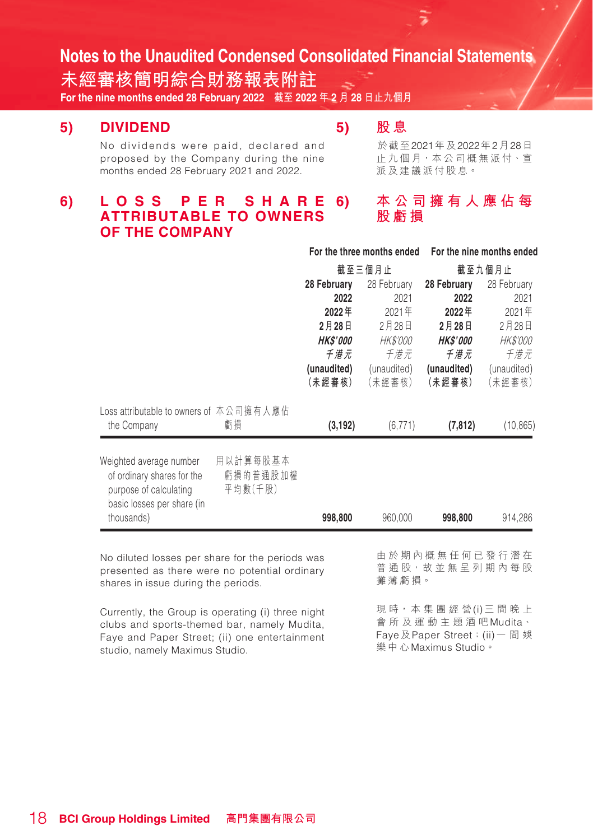**未經審核簡明綜合財務報表附註 For the nine months ended 28 February 2022 截至 2022 年 2 月 28 日止九個月**

### **5) DIVIDEND**

### **5) 股 息**

於截至2021年及2022年2月28日 止 九個月,本公司概無派付、宣

派及建議派付股息。

**股虧損**

No dividends were paid, declared and proposed by the Company during the nine months ended 28 February 2021 and 2022.

#### **6) 本公司擁有人應佔每 6) L O S S P E R S H A R E ATTRIBUTABLE TO OWNERS OF THE COMPANY**

|                                                                                                                                         |                                 | For the three months ended |                  | For the nine months ended                 |                 |  |
|-----------------------------------------------------------------------------------------------------------------------------------------|---------------------------------|----------------------------|------------------|-------------------------------------------|-----------------|--|
|                                                                                                                                         |                                 |                            | 截至三個月止<br>截至九個月止 |                                           |                 |  |
|                                                                                                                                         |                                 | 28 February<br>28 February |                  | 28 February                               | 28 February     |  |
|                                                                                                                                         |                                 | 2022                       | 2021             | 2022                                      | 2021            |  |
|                                                                                                                                         |                                 | 2022年                      | 2021年            | 2022年                                     | 2021年           |  |
|                                                                                                                                         |                                 | 2月28日                      | 2月28日            | 2月28日                                     | 2月28日           |  |
|                                                                                                                                         |                                 | <i><b>HK\$'000</b></i>     | <i>HK\$'000</i>  | <b>HK\$'000</b>                           | <i>HK\$'000</i> |  |
|                                                                                                                                         |                                 | 千港元                        | 千港元              | 千港元                                       | 千港元             |  |
|                                                                                                                                         |                                 | (unaudited)                | (unaudited)      | (unaudited)                               | (unaudited)     |  |
|                                                                                                                                         |                                 | (未經審核)                     | (未經審核)           | (未經審核)                                    | (未經審核)          |  |
| Loss attributable to owners of 本公司擁有人應佔<br>the Company                                                                                  | 虧損                              | (3, 192)                   | (6, 771)         | (7, 812)                                  | (10, 865)       |  |
| Weighted average number<br>of ordinary shares for the<br>purpose of calculating<br>basic losses per share (in<br>thousands)             | 用以計算每股基本<br>虧損的普通股加權<br>平均數(千股) | 998,800                    | 960,000          | 998,800                                   | 914,286         |  |
| No diluted losses per share for the periods was<br>presented as there were no potential ordinary<br>shares in issue during the periods. |                                 |                            | 攤薄虧損。            | 由於期內概無任何已發行潛在<br>普 通 股, 故 並 無 呈 列 期 內 每 股 |                 |  |

Currently, the Group is operating (i) three night clubs and sports-themed bar, namely Mudita, Faye and Paper Street; (ii) one entertainment studio, namely Maximus Studio.

現時,本集團經營(i)三間晚上 會所及運動主題酒吧Mudita、 Fave 及Paper Street : (ii) 一 間 娛

樂中心Maximus Studio。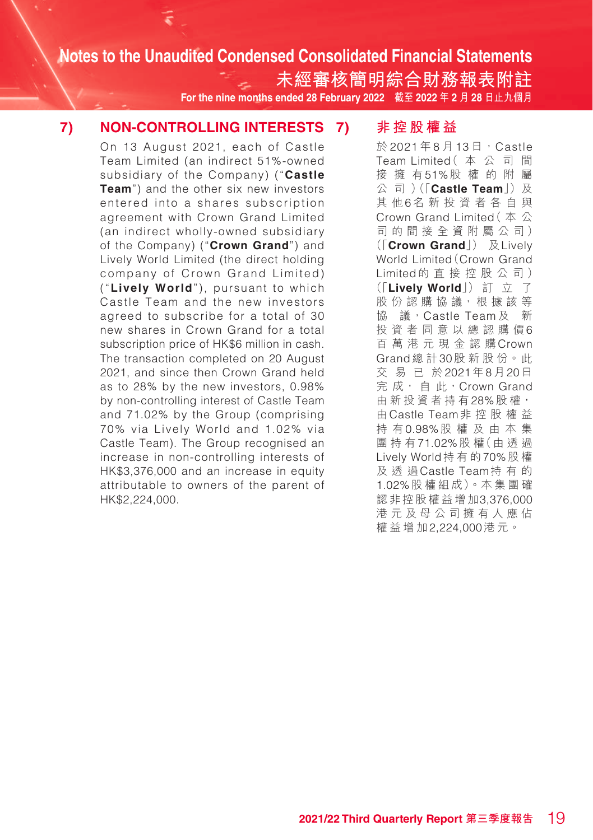**未經審核簡明綜合財務報表附註 For the nine months ended 28 February 2022 截至 2022 年 2 月 28 日止九個月**

### **7) NON-CONTROLLING INTERESTS**

On 13 August 2021, each of Castle Team Limited (an indirect 51%-owned subsidiary of the Company) ("**Castle Team**") and the other six new investors entered into a shares subscription agreement with Crown Grand Limited (an indirect wholly-owned subsidiary of the Company) ("**Crown Grand**") and Lively World Limited (the direct holding company of Crown Grand Limited) ("**Lively World**"), pursuant to which Castle Team and the new investors agreed to subscribe for a total of 30 new shares in Crown Grand for a total subscription price of HK\$6 million in cash. The transaction completed on 20 August 2021, and since then Crown Grand held as to 28% by the new investors, 0.98% by non-controlling interest of Castle Team and 71.02% by the Group (comprising 70% via Lively World and 1.02% via Castle Team). The Group recognised an increase in non-controlling interests of HK\$3,376,000 and an increase in equity attributable to owners of the parent of HK\$2,224,000.

### **7) 非控股權益**

於 2021 年 8 月 13 日, Castle Team Limited(本公司間 接擁有51%股權的附屬 公 司 ) (「**Castle Team**」) 及 其他6名新投資者各自與 Crown Grand Limited(本公 司的間接全資附屬公司) (「**Crown Grand**」) 及Lively World Limited(Crown Grand Limited的直接控股公司) (「**Lively World**」) 訂 立 了 股份認購協議, 根據該等 協 議, Castle Team 及 新 投資者同意以總認購價6 百 萬 港元現金認購Crown Grand總 計30股 新 股 份。此 交易已於2021年8月20日 完 成, 自 此, Crown Grand 由 新 投 資 者 持 有 28% 股 權, 由Castle Team非控股權益 持 有0.98%股 權 及由本集 團持有71.02%股 權(由 透 過 Lively World持有的70%股 權 及透過Castle Team持有的 1.02%股 權 組 成)。本 集 團 確 認非控股權益增加3,376,000 港元及母公司擁有人應佔 權益增加2,224,000港元。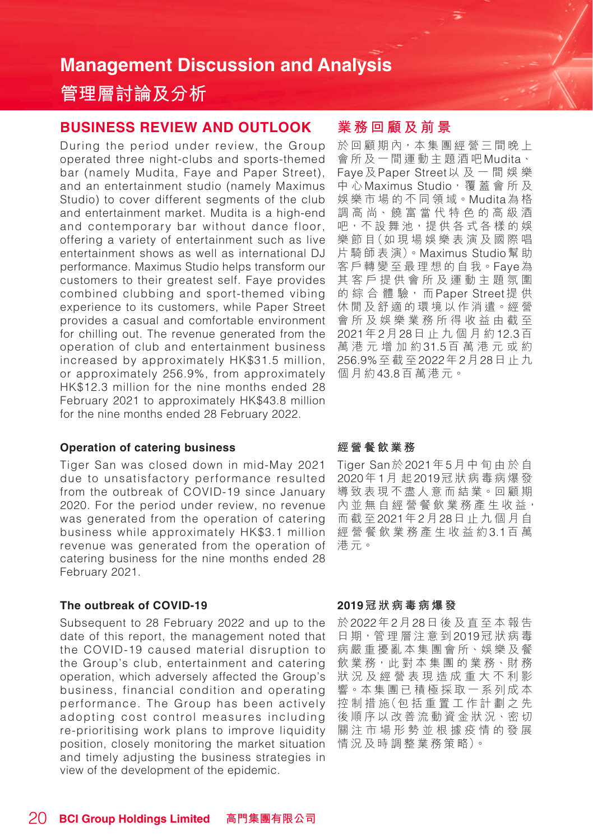## **管理層討論及分析**

### **BUSINESS REVIEW AND OUTLOOK**

During the period under review, the Group operated three night-clubs and sports-themed bar (namely Mudita, Faye and Paper Street), and an entertainment studio (namely Maximus Studio) to cover different segments of the club and entertainment market. Mudita is a high-end and contemporary bar without dance floor, offering a variety of entertainment such as live entertainment shows as well as international DJ performance. Maximus Studio helps transform our customers to their greatest self. Faye provides combined clubbing and sport-themed vibing experience to its customers, while Paper Street provides a casual and comfortable environment for chilling out. The revenue generated from the operation of club and entertainment business increased by approximately HK\$31.5 million, or approximately 256.9%, from approximately HK\$12.3 million for the nine months ended 28 February 2021 to approximately HK\$43.8 million for the nine months ended 28 February 2022.

#### **Operation of catering business**

Tiger San was closed down in mid-May 2021 due to unsatisfactory performance resulted from the outbreak of COVID-19 since January 2020. For the period under review, no revenue was generated from the operation of catering business while approximately HK\$3.1 million revenue was generated from the operation of catering business for the nine months ended 28 February 2021.

#### **The outbreak of COVID-19**

Subsequent to 28 February 2022 and up to the date of this report, the management noted that the COVID-19 caused material disruption to the Group's club, entertainment and catering operation, which adversely affected the Group's business, financial condition and operating performance. The Group has been actively adopting cost control measures including re-prioritising work plans to improve liquidity position, closely monitoring the market situation and timely adjusting the business strategies in view of the development of the epidemic.

### **業 務回顧及前景**

於回顧期內,本集團經營三間晚上 會所及一間運動主題酒吧Mudita、 Faye及Paper Street以及一間娛樂 中心Maximus Studio,覆蓋會所及 娛 樂 市 場 的 不 同 領 域。Mudita為 格 調 高 尚、饒富當代特色的高級酒 吧,不設 舞池,提供各式各樣的娛 樂 節 目(如 現 場 娛 樂 表 演 及 國 際 唱 片 騎 師 表 演)。Maximus Studio幫 助 客戶轉變至最理想 的 自 我。Faye為 其客戶提供會所及運動主題氛圍 的 綜 合 體 驗, 而Paper Street提 供 休閒及舒適的環境 以作消遣。經營 會所及娛樂業務所得收益由截至 2021年2月28日止九個月約12.3百 萬港元增加約31.5百萬港元或約 256.9%至截至2022年2月28日止九 個月約43.8百萬港元。

#### **經營餐飲業務**

Tiger San於2021年5月中旬由於自 2020年1月 起2019冠狀病毒病爆發 導致表現不盡人意而結業。回顧期 內並無自經營餐飲業務產生收益, 而截至2021年2月28日止九個月自 經營餐飲業務產生收益約3.1百 萬 港元。

#### **2019冠狀病毒病爆發**

於2022年2月28日後及直至本報告 日期,管理層注意到2019冠狀病毒 病嚴重擾亂本集團會所、娛樂及餐 飲 業 務, 此 對 本 集 團 的 業 務、財 務 狀況及經營表現造成重大不利影 響。本集團已積極採取一系列成本 控 制 措 施(包 括 重 置 工 作 計 劃 之 先 後順序以改善流動資金狀況、密切 關注市場形勢並根據疫情的發展 情 況 及 時 調 整 業 務 策 略)。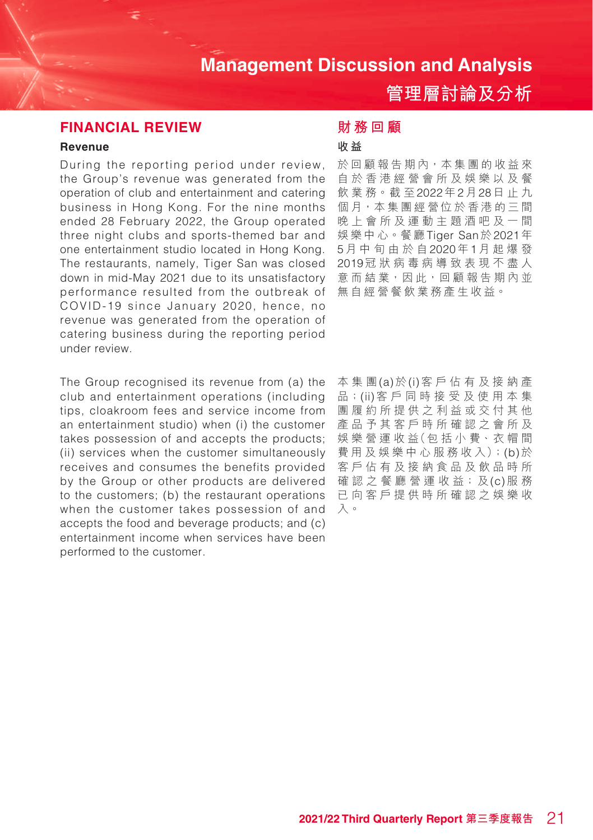**管理層討論及分析**

### **FINANCIAL REVIEW**

#### **Revenue**

During the reporting period under review, the Group's revenue was generated from the operation of club and entertainment and catering business in Hong Kong. For the nine months ended 28 February 2022, the Group operated three night clubs and sports-themed bar and one entertainment studio located in Hong Kong. The restaurants, namely, Tiger San was closed down in mid-May 2021 due to its unsatisfactory performance resulted from the outbreak of COVID-19 since January 2020, hence, no revenue was generated from the operation of catering business during the reporting period under review.

The Group recognised its revenue from (a) the club and entertainment operations (including tips, cloakroom fees and service income from an entertainment studio) when (i) the customer takes possession of and accepts the products; (ii) services when the customer simultaneously receives and consumes the benefits provided by the Group or other products are delivered to the customers; (b) the restaurant operations when the customer takes possession of and accepts the food and beverage products; and (c) entertainment income when services have been performed to the customer.

### **財務回顧**

### **收 益**

於回顧報告期內,本集團的收益來 自於香港經營會所及娛樂以及餐 飲 業 務。截 至2022年2月28日止九 個月,本集團經營位於香港的三間 晚上會所及運動主題酒吧及一間 娛樂中心。餐廳Tiger San於2021年 5月中旬由於自2020年1月起爆發 2019冠狀病毒病導致表現不盡人 意 而 結 業, 因 此, 回 顧 報 告 期 內 並 無自經營餐飲業務產生收益。

本集團(a)於(i)客戶佔有及接納產 品;(ii)客戶同時接受及使用本集 團履約所提供之利益或交付其他 產品予其客戶時所確認之會所及 娛 樂 營 運 收 益(包 括 小 費、衣 帽 間 費 用 及 娛 樂 中 心 服 務 收 入);(b)於 客戶佔有及接納食品及飲品時所 確認之 餐廳 營 運 收 益;及(c)服 務 已向客戶提供時所確認之娛樂收 入。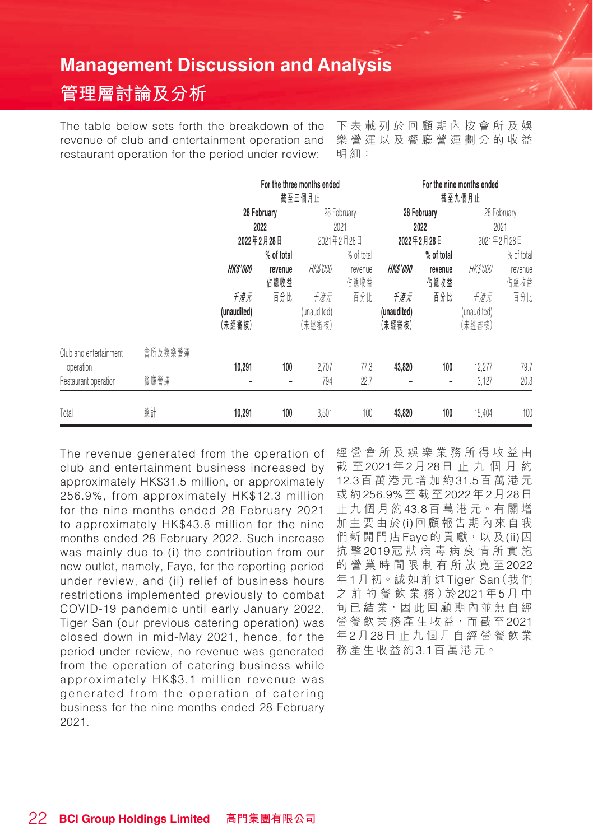## **管理層討論及分析**

The table below sets forth the breakdown of the revenue of club and entertainment operation and restaurant operation for the period under review:

下表載列於回顧期內按會所及娛 樂營運以及餐廳營運劃分的收益 明細:

|                                     |         | For the three months ended<br>截至三個月止 |                 |                              |                 |                              |                 | For the nine months ended<br>截至九個月止 |                 |
|-------------------------------------|---------|--------------------------------------|-----------------|------------------------------|-----------------|------------------------------|-----------------|-------------------------------------|-----------------|
|                                     |         | 28 February                          |                 |                              | 28 February     |                              | 28 February     | 28 February                         |                 |
|                                     |         | 2022                                 |                 |                              | 2021            |                              | 2022<br>2021    |                                     |                 |
|                                     |         |                                      | 2022年2月28日      | 2021年2月28日                   |                 |                              | 2022年2月28日      | 2021年2月28日                          |                 |
|                                     |         |                                      | % of total      |                              | % of total      |                              | % of total      |                                     | % of total      |
|                                     |         | <b>HKS'000</b>                       | revenue<br>佔總收益 | <i>HK\$'000</i>              | revenue<br>佔總收益 | <i><b>HKS'000</b></i>        | revenue<br>佔總收益 | <i>HK\$'000</i>                     | revenue<br>佔總收益 |
|                                     |         | 千港元<br>(unaudited)<br>(未經審核)         | 百分比             | 千港元<br>(unaudited)<br>(未經審核) | 百分比             | 千港元<br>(unaudited)<br>(未經審核) | 百分比             | 千港元<br>(unaudited)<br>(未經審核)        | 百分比             |
| Club and entertainment<br>operation | 會所及娛樂營運 | 10,291                               | 100             | 2,707                        | 77.3            | 43,820                       | 100             | 12,277                              | 79.7            |
| Restaurant operation                | 餐廳營運    |                                      |                 | 794                          | 22.7            |                              |                 | 3,127                               | 20.3            |
| Total                               | 總計      | 10,291                               | 100             | 3,501                        | 100             | 43,820                       | 100             | 15,404                              | 100             |

The revenue generated from the operation of club and entertainment business increased by approximately HK\$31.5 million, or approximately 256.9%, from approximately HK\$12.3 million for the nine months ended 28 February 2021 to approximately HK\$43.8 million for the nine months ended 28 February 2022. Such increase was mainly due to (i) the contribution from our new outlet, namely, Faye, for the reporting period under review, and (ii) relief of business hours restrictions implemented previously to combat COVID-19 pandemic until early January 2022. Tiger San (our previous catering operation) was closed down in mid-May 2021, hence, for the period under review, no revenue was generated from the operation of catering business while approximately HK\$3.1 million revenue was generated from the operation of catering business for the nine months ended 28 February 2021.

經營會所及娛樂業務所得收益由 截 至2021年2月28日止九個月約 12.3百萬港元增加約31.5百萬港元 或 約256.9%至截至2022年2月28日 止九個月約43.8百 萬 港 元。有 關 增 加主要由於(i)回顧報告期內來自我 們新開門店Faye的貢獻,以及(ii)因 抗 擊2019冠狀病毒病疫情所實施 的 營業時間限制有所放寬 至2022 年1月 初。誠如前述Tiger San(我們 之 前 的 餐 飲 業 務)於2021年5月 中 旬 已 結業,因此回顧期內並無自經 營餐飲業務產生收益,而截至2021 年2月28日止九個月自經營餐飲業 務產生收益約3.1百萬港元。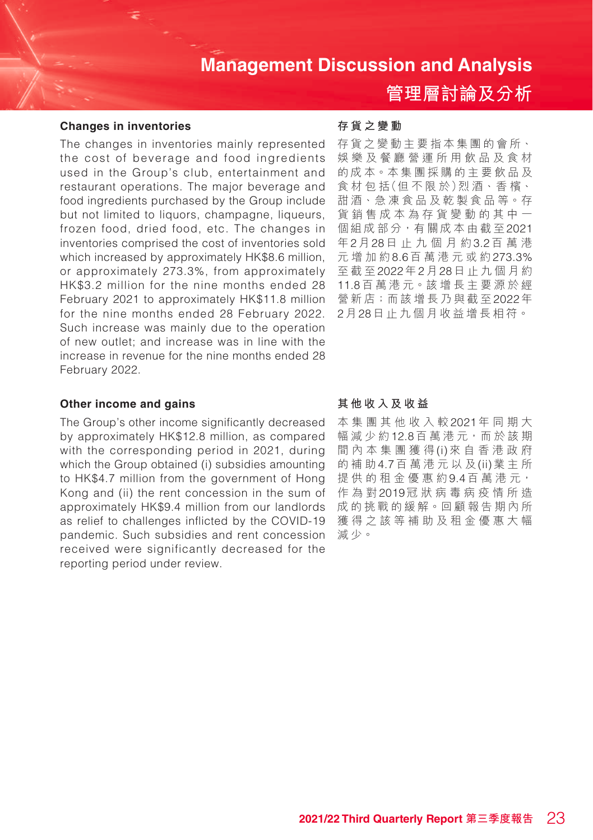#### **Changes in inventories**

The changes in inventories mainly represented the cost of beverage and food ingredients used in the Group's club, entertainment and restaurant operations. The major beverage and food ingredients purchased by the Group include but not limited to liquors, champagne, liqueurs, frozen food, dried food, etc. The changes in inventories comprised the cost of inventories sold which increased by approximately HK\$8.6 million, or approximately 273.3%, from approximately HK\$3.2 million for the nine months ended 28 February 2021 to approximately HK\$11.8 million for the nine months ended 28 February 2022. Such increase was mainly due to the operation of new outlet; and increase was in line with the increase in revenue for the nine months ended 28 February 2022.

#### **Other income and gains**

The Group's other income significantly decreased by approximately HK\$12.8 million, as compared with the corresponding period in 2021, during which the Group obtained (i) subsidies amounting to HK\$4.7 million from the government of Hong Kong and (ii) the rent concession in the sum of approximately HK\$9.4 million from our landlords as relief to challenges inflicted by the COVID-19 pandemic. Such subsidies and rent concession received were significantly decreased for the reporting period under review.

#### **存貨之變動**

存貨之變動主要指本集團的會所、 娛樂及餐廳營運所用飲品及食材 的成本。本集團採購的主要飲品及 食 材 包 括(但 不 限 於)烈 酒、香 檳、 甜 酒、急 凍 食 品 及 乾 製 食 品 等。存 貨銷售成本為存貨變動的其中一 個組成部分,有關成本由截至2021 年2月28日止九個月約3.2百萬港 元增加約8.6百萬港元或約273.3% 至截至2022年2月28日止九個月約 11.8百 萬 港 元。該 增 長 主 要 源 於 經 營新店;而該增長乃與截至2022年 2月28日止九個月收益增長相符。

**管理層討論及分析**

#### **其他收入及收益**

本集團其他收入較2021年同期大 幅減少約12.8百 萬 港 元,而 於 該 期 間內本集團獲得(i)來自香港政府 的補助4.7百萬港元以及(ii)業主所 提供的租金優惠約9.4百萬港元, 作為對2019冠狀病毒病疫情所造 成的挑戰的緩解。回顧報告期內所 獲得之該等補助及租金優惠大幅 減少。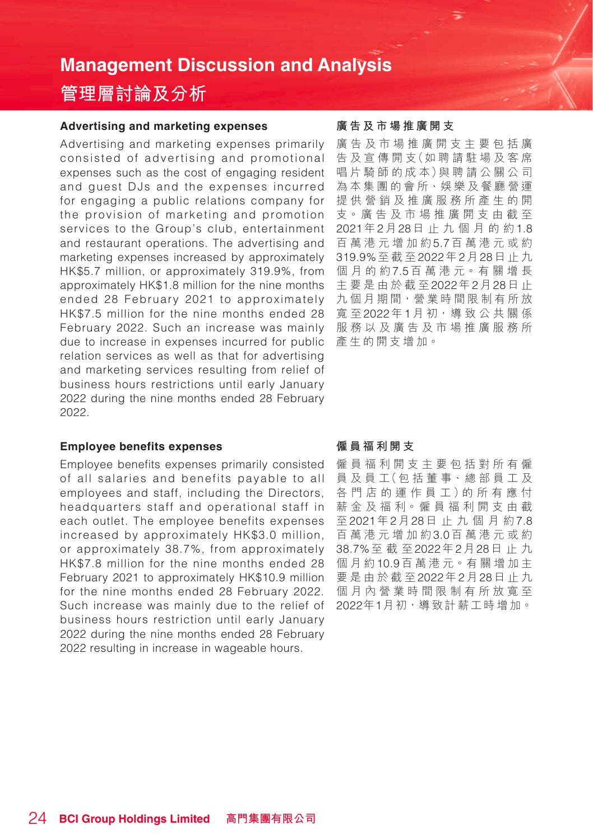## **管理層討論及分析**

#### **Advertising and marketing expenses**

Advertising and marketing expenses primarily consisted of advertising and promotional expenses such as the cost of engaging resident and guest DJs and the expenses incurred for engaging a public relations company for the provision of marketing and promotion services to the Group's club, entertainment and restaurant operations. The advertising and marketing expenses increased by approximately HK\$5.7 million, or approximately 319.9%, from approximately HK\$1.8 million for the nine months ended 28 February 2021 to approximately HK\$7.5 million for the nine months ended 28 February 2022. Such an increase was mainly due to increase in expenses incurred for public relation services as well as that for advertising and marketing services resulting from relief of business hours restrictions until early January 2022 during the nine months ended 28 February 2022.

#### **Employee benefits expenses**

Employee benefits expenses primarily consisted of all salaries and benefits payable to all employees and staff, including the Directors, headquarters staff and operational staff in each outlet. The employee benefits expenses increased by approximately HK\$3.0 million, or approximately 38.7%, from approximately HK\$7.8 million for the nine months ended 28 February 2021 to approximately HK\$10.9 million for the nine months ended 28 February 2022. Such increase was mainly due to the relief of business hours restriction until early January 2022 during the nine months ended 28 February 2022 resulting in increase in wageable hours.

#### **廣告及市場推廣開支**

廣告及市場推廣開支主要包括廣 告 及 宣 傳 開 支(如 聘 請 駐 場 及 客 席 唱 片 騎 師 的 成 本)與 聘 請 公 關 公 司 為本集團的會所、娛樂及餐廳營運 提供營銷及推廣服務所產生的開 支。廣 告 及 市 場 推 廣 開 支 由 截 至 2021年2月28日止九個月的約1.8 百萬港元增加約5.7百萬港元或約 319.9%至截至2022年2月28日止九 個月的約7.5百 萬 港 元。有 關 增 長 主要是由於截至2022年2月28日 止 九個月期間,營業時間限制有所放 寬 至 2022年1月初, 導致公共關係 服務以及廣告及市場推廣服務所 產生的開支增加。

#### **僱員福利開支**

僱員福利開支主要包括對所有僱 員 及 員 工(包 括 董 事、總 部 員 工 及 各 門 店 的 運 作 員 工 )的 所 有 應 付 薪 金 及 福 利。僱 員 福 利 開 支 由 截 至2021年2月28日止九個月約7.8 百萬港元增加約3.0百萬港元或約 38.7%至截至2022年2月28日止九 個月約10.9百 萬 港 元。有 關 增 加 主 要是由於截至2022年2月28日止九 個月內營業時間限制有所放寬至 2022年1月初,導致計薪工時增加。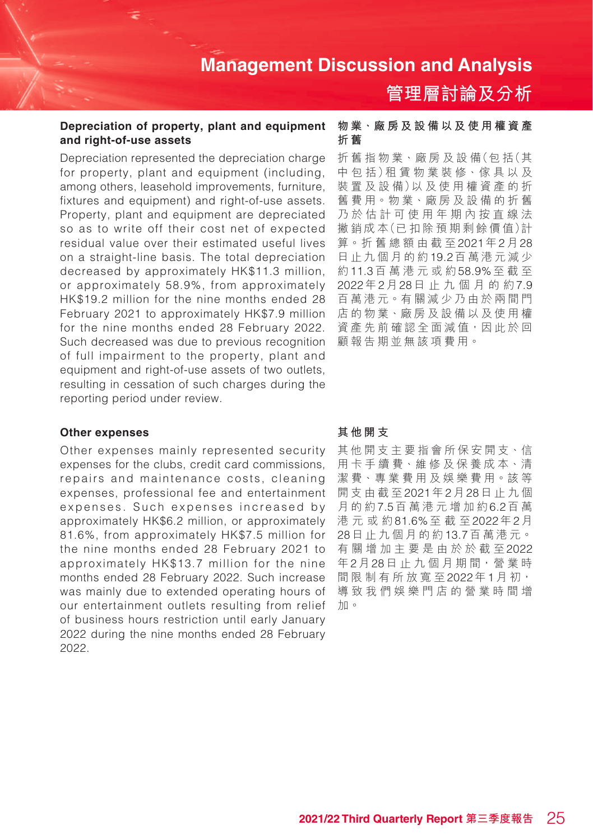# **管理層討論及分析**

#### **Depreciation of property, plant and equipment and right-of-use assets**

Depreciation represented the depreciation charge for property, plant and equipment (including, among others, leasehold improvements, furniture, fixtures and equipment) and right-of-use assets. Property, plant and equipment are depreciated so as to write off their cost net of expected residual value over their estimated useful lives on a straight-line basis. The total depreciation decreased by approximately HK\$11.3 million, or approximately 58.9%, from approximately HK\$19.2 million for the nine months ended 28 February 2021 to approximately HK\$7.9 million for the nine months ended 28 February 2022. Such decreased was due to previous recognition of full impairment to the property, plant and equipment and right-of-use assets of two outlets, resulting in cessation of such charges during the reporting period under review.

#### **Other expenses**

Other expenses mainly represented security expenses for the clubs, credit card commissions, repairs and maintenance costs, cleaning expenses, professional fee and entertainment expenses. Such expenses increased by approximately HK\$6.2 million, or approximately 81.6%, from approximately HK\$7.5 million for the nine months ended 28 February 2021 to approximately HK\$13.7 million for the nine months ended 28 February 2022. Such increase was mainly due to extended operating hours of our entertainment outlets resulting from relief of business hours restriction until early January 2022 during the nine months ended 28 February 2022.

#### **物業、廠房及設備以及使用權資產 折 舊**

折 舊 指 物 業、廠 房 及 設 備(包 括(其 中 包 括)租 賃 物 業 裝 修、傢 具 以 及 装置及設備)以及使用權資產的折 舊 費 用。物 業、廠 房 及 設 備 的 折 舊 乃於估計可使用年期內按直線法 撇 銷 成 本(已 扣 除 預 期 剩 餘 價 值)計 算。折 舊 總 額 由 截 至2021年2月28 日止九個月的約19.2百萬港元減少 約11.3百萬港元或約58.9%至截至 2022年2月28日止九個月的約7.9 百萬港元。有關減少乃由於兩間門 店的物業、廠房及設備以及使用權 資產先前確認全面減值,因此於回 顧報告期並無該項費用。

#### **其他開支**

其他開支主要指會所保安開支、信 用 卡 手 續 費、維 修 及 保 養 成 本、清 潔 費、專 業 費 用 及 娛 樂 費 用。該 等 開支由截至2021年2月28日止九個 月的約7.5百萬港元增加約6.2百 萬 港元或約81.6%至截至2022年2月 28日止九個月的約13.7百萬港元。 有關增加主要是由於於截至2022 年2月28日止九個月期間,營業時 間限制有所放寬至2022年1月初, 導致我們娛樂門店的營業時間增 加。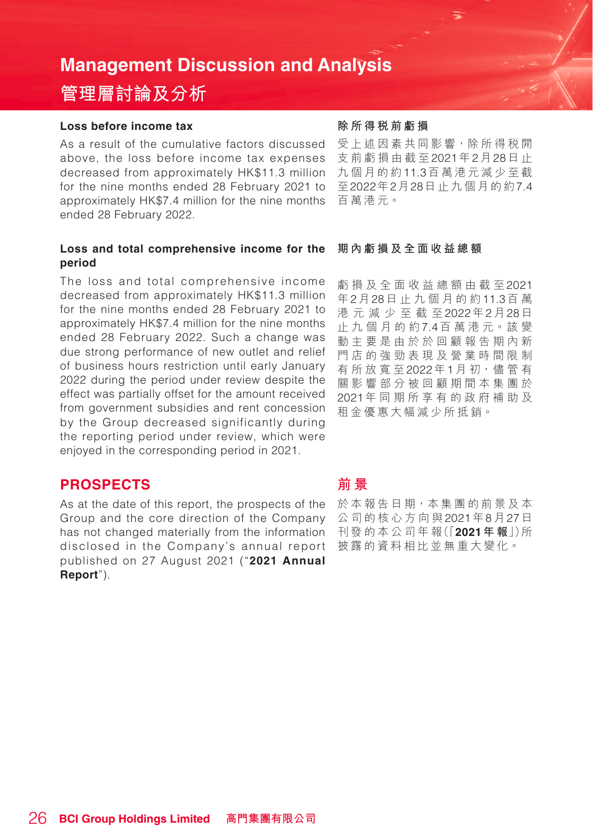## **管理層討論及分析**

#### **Loss before income tax**

As a result of the cumulative factors discussed above, the loss before income tax expenses decreased from approximately HK\$11.3 million for the nine months ended 28 February 2021 to approximately HK\$7.4 million for the nine months ended 28 February 2022.

#### **Loss and total comprehensive income for the period**

The loss and total comprehensive income decreased from approximately HK\$11.3 million for the nine months ended 28 February 2021 to approximately HK\$7.4 million for the nine months ended 28 February 2022. Such a change was due strong performance of new outlet and relief of business hours restriction until early January 2022 during the period under review despite the effect was partially offset for the amount received from government subsidies and rent concession by the Group decreased significantly during the reporting period under review, which were enjoyed in the corresponding period in 2021.

### **PROSPECTS**

disclosed in the Company's annual report 披露的資料相比並無重大變化。 As at the date of this report, the prospects of the Group and the core direction of the Company has not changed materially from the information published on 27 August 2021 ("**2021 Annual Report**").

#### **除所得稅前虧損**

受上述因素共同影響,除所得稅開 支前虧損由截至2021年2月28日 止 九個月的約11.3百萬港元減少至截 至2022年2月28日止九個月的約7.4 百萬港元。

#### **期內虧損及全面收益總額**

虧損及全面收益總額由截至2021 年2月28日止九個月的約11.3百 萬 港元減少至截至2022年2月28日 止九個月的約7.4百 萬 港 元。該 變 動主要是由於於回顧報告期內新 門店的強勁表現及營業時間限制 有所放寬至2022年1月 初,儘 管 有 關影響部分被回顧期間本集團於 2021年同期所享有的政府補助及 租金優惠大幅減少所抵銷。

### **前 景**

於本報告日期,本集團的前景及本 公司的核心方向與2021年8月27日 刊 發 的 本 公 司 年 報(「**2021年 報**」)所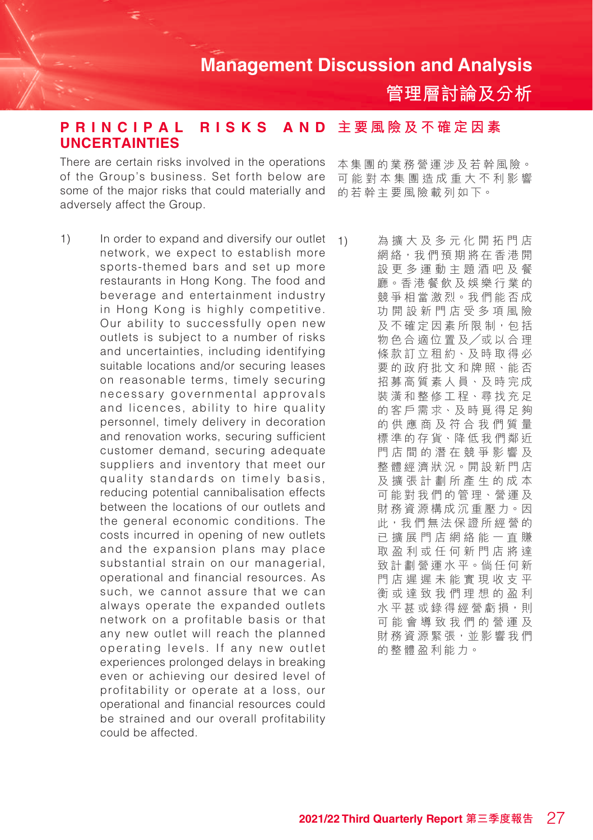**管理層討論及分析**

#### **AND 主要風險及不確定因素 PRINCIPAL RISKS UNCERTAINTIES**

There are certain risks involved in the operations of the Group's business. Set forth below are some of the major risks that could materially and adversely affect the Group.

1) In order to expand and diversify our outlet network, we expect to establish more sports-themed bars and set up more restaurants in Hong Kong. The food and beverage and entertainment industry in Hong Kong is highly competitive. Our ability to successfully open new outlets is subject to a number of risks and uncertainties, including identifying suitable locations and/or securing leases on reasonable terms, timely securing necessary governmental approvals and licences, ability to hire quality personnel, timely delivery in decoration and renovation works, securing sufficient customer demand, securing adequate suppliers and inventory that meet our quality standards on timely basis, reducing potential cannibalisation effects between the locations of our outlets and the general economic conditions. The costs incurred in opening of new outlets and the expansion plans may place substantial strain on our managerial, operational and financial resources. As such, we cannot assure that we can always operate the expanded outlets network on a profitable basis or that any new outlet will reach the planned operating levels. If any new outlet experiences prolonged delays in breaking even or achieving our desired level of profitability or operate at a loss, our operational and financial resources could be strained and our overall profitability could be affected.

本集團的業務營運涉及若幹風險。 可能對本集團造成重大不利影響 的若幹主要風險載列如下。

1) 為擴大及多元化開拓門店 網絡,我們預期將在香港開 設更多運動主題酒吧及餐 廳。香港餐飲及娛樂行業的 競爭相當激烈。我們能否成 功開設新門店受多項風險 及不確定因素所限制,包括 物色合適位置及╱或以合理 條款訂立租約、及時取得必 要的政府批文和牌照、能否 招募高質素人員、及時完成 裝潢和整修工程、尋找充足 的客戶需求、及時覓得足夠 的供應商及符合我們質量 標準的存貨、降低我們鄰近 門店間的潛在競爭影響及 整體經濟狀況。開設新門店 及擴張計劃所產生的成本 可能對我們的管理、營運及 財務資源構成沉重壓力。因 此,我們無法保證所經營的 已擴展門店網絡能一直賺 取盈利或任何新門店將達 致計劃營運水平。倘任何新 門店遲遲未能實現收支平 衡或達致我們理想的盈利 水平甚或錄得經營虧損,則 可能會導致我們的營運及 財務資源緊張,並影響我們 的整體盈利能力。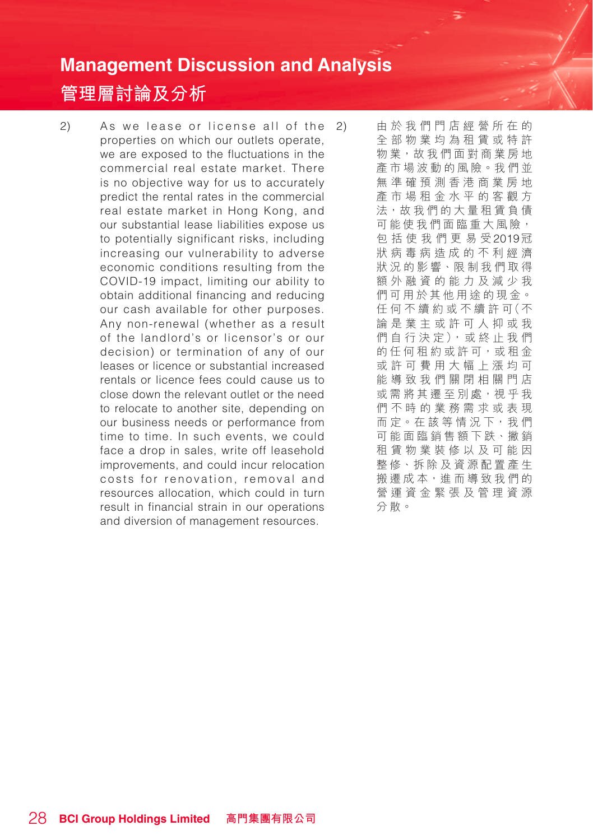## **管理層討論及分析**

 $2)$  As we lease or license all of the properties on which our outlets operate, we are exposed to the fluctuations in the commercial real estate market. There is no objective way for us to accurately predict the rental rates in the commercial real estate market in Hong Kong, and our substantial lease liabilities expose us to potentially significant risks, including increasing our vulnerability to adverse economic conditions resulting from the COVID-19 impact, limiting our ability to obtain additional financing and reducing our cash available for other purposes. Any non-renewal (whether as a result of the landlord's or licensor's or our decision) or termination of any of our leases or licence or substantial increased rentals or licence fees could cause us to close down the relevant outlet or the need to relocate to another site, depending on our business needs or performance from time to time. In such events, we could face a drop in sales, write off leasehold improvements, and could incur relocation costs for renovation, removal and resources allocation, which could in turn result in financial strain in our operations and diversion of management resources.

2) 由於我們門店經營所在的 全部物業均為租賃或特許 物業,故我們面對商業房地 產市場波動的風險。我們並 無準確預測香港商業房地 產市場租金水平的客觀方 法,故我們的大量租賃負債 可能使我們面臨重大風險, 包括使我們更易受2019冠 狀病毒病 造成的不利經濟 狀況的影響、限制我們取得 額外融資的能力及減少我 們可用於其他用途的現金。 任 何 不 續 約 或 不 續 許 可(不 論是業主或許可人抑或我 們 自 行 決 定), 或 終 止 我 們 的任何租約或許可,或租金 或許可費用大幅上漲均可 能導致我們關閉相關門店 或需將其遷至別處,視乎我 們不時的業務需求或表現 而 定。在 該 等 情 況 下, 我 們 可能面臨銷售額下跌、撇銷 租賃物業裝修以及可能因 整修、拆除及資源配置產生 搬遷成本,進而導致我們的 營運資金緊張及管理資源 分散。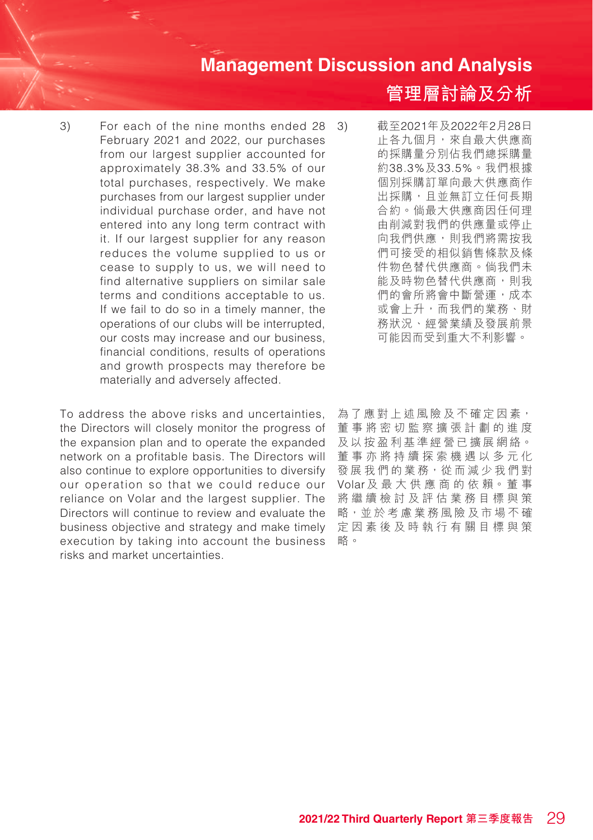3) For each of the nine months ended 28 February 2021 and 2022, our purchases from our largest supplier accounted for approximately 38.3% and 33.5% of our total purchases, respectively. We make purchases from our largest supplier under individual purchase order, and have not entered into any long term contract with it. If our largest supplier for any reason reduces the volume supplied to us or cease to supply to us, we will need to find alternative suppliers on similar sale terms and conditions acceptable to us. If we fail to do so in a timely manner, the operations of our clubs will be interrupted, our costs may increase and our business, financial conditions, results of operations and growth prospects may therefore be materially and adversely affected.

To address the above risks and uncertainties, the Directors will closely monitor the progress of the expansion plan and to operate the expanded network on a profitable basis. The Directors will also continue to explore opportunities to diversify our operation so that we could reduce our reliance on Volar and the largest supplier. The Directors will continue to review and evaluate the business objective and strategy and make timely execution by taking into account the business risks and market uncertainties.

**管理層討論及分析**

- 3) 截至2021年及2022年2月28日 止各九個月,來自最大供應商 的採購量分別佔我們總採購量 約38.3%及33.5%。我們根據 個別採購訂單向最大供應商作 出採購,且並無訂立任何長期 合約。倘最大供應商因任何理 由削減對我們的供應量或停止 向我們供應,則我們將需按我 們可接受的相似銷售條款及條 件物色替代供應商。倘我們未 能及時物色替代供應商,則我 們的會所將會中斷營運,成本 或會上升,而我們的業務、財 務狀況、經營業績及發展前景 可能因而受到重大不利影響。
- 為了應對上述風險及不確定因素, 董事將密切監察擴張計劃的進度 及以按盈利基準經營已擴展網絡。 董事亦將持續探索機遇以多元化 發展我們的業務,從而減少我們對 Volar及 最 大 供 應 商 的 依 賴。董 事 將繼續檢討及評估業務目標與策 略,並於考慮業務風險及市場不確 定因素後及時執行有關目標與策 略。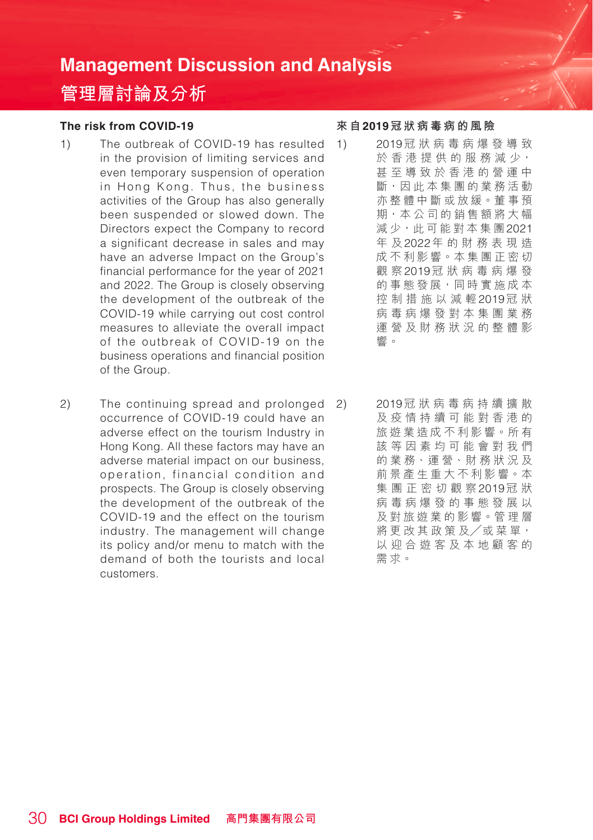## **管理層討論及分析**

### **The risk from COVID-19**

- 1) The outbreak of COVID-19 has resulted in the provision of limiting services and even temporary suspension of operation in Hong Kong. Thus, the business activities of the Group has also generally been suspended or slowed down. The Directors expect the Company to record a significant decrease in sales and may have an adverse Impact on the Group's financial performance for the year of 2021 and 2022. The Group is closely observing the development of the outbreak of the COVID-19 while carrying out cost control measures to alleviate the overall impact of the outbreak of COVID-19 on the business operations and financial position of the Group.
- 2) The continuing spread and prolonged occurrence of COVID-19 could have an adverse effect on the tourism Industry in Hong Kong. All these factors may have an adverse material impact on our business, operation, financial condition and prospects. The Group is closely observing the development of the outbreak of the COVID-19 and the effect on the tourism industry. The management will change its policy and/or menu to match with the demand of both the tourists and local customers.

### **來 自2019冠狀病毒病 的風險**

- 1) 2019冠狀病毒病 爆發導致 於 香 港 提 供 的 服 務 減 少, 甚至導致於香港的營運中 斷,因此本集團的業務活動 亦整體中斷或放緩。董事預 期,本公司的銷售額將大幅 減少,此可能對本集團2021 年 及2022年 的財務表現造 成不利影響。本集團正密切 觀 察2019冠狀病毒病 爆 發 的事態發展,同時實施成本 控制措施以減輕2019冠 狀 病毒病 爆發對本集團業務 運營及財務狀況的整體影 響。
- 2) 2019冠狀病毒病 持續擴散 及疫情持續可能對香港的 旅遊業造成不利影響。所有 該等因素均可能會對我們 的 業 務、運 營、財 務 狀 況 及 前景產生重大不利影響。本 集團正密切觀察2019冠 狀 病毒病 爆發的事態發展以 及對旅遊業的影響。管理層 將更改其政策及/或菜單, 以迎合遊客及本地顧客的 需求。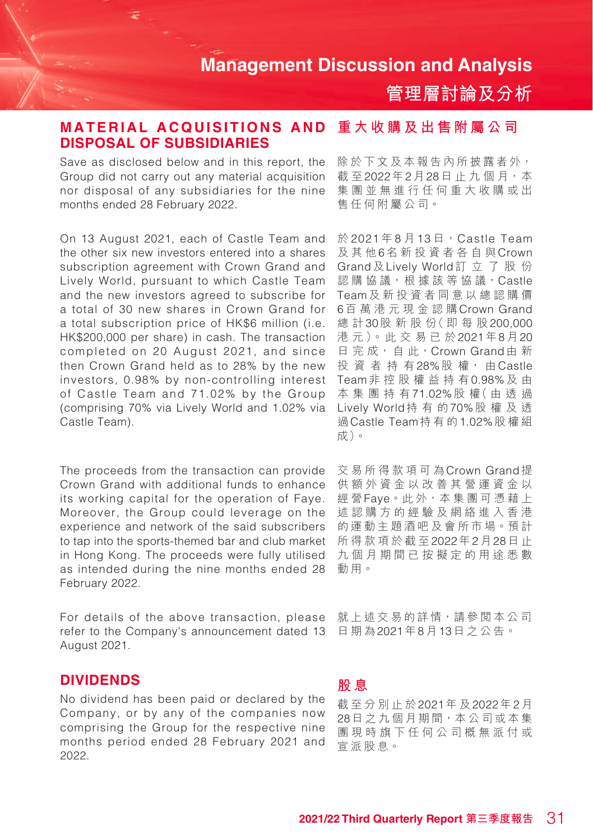**管理層討論及分析**

#### **重大收購及出售附屬公司 MATERIAL ACQUISITIONS AND DISPOSAL OF SUBSIDIARIES**

Save as disclosed below and in this report, the Group did not carry out any material acquisition nor disposal of any subsidiaries for the nine months ended 28 February 2022.

On 13 August 2021, each of Castle Team and the other six new investors entered into a shares subscription agreement with Crown Grand and Lively World, pursuant to which Castle Team and the new investors agreed to subscribe for a total of 30 new shares in Crown Grand for a total subscription price of HK\$6 million (i.e. HK\$200,000 per share) in cash. The transaction completed on 20 August 2021, and since then Crown Grand held as to 28% by the new investors, 0.98% by non-controlling interest of Castle Team and 71.02% by the Group (comprising 70% via Lively World and 1.02% via Castle Team).

The proceeds from the transaction can provide Crown Grand with additional funds to enhance its working capital for the operation of Faye. Moreover, the Group could leverage on the experience and network of the said subscribers to tap into the sports-themed bar and club market in Hong Kong. The proceeds were fully utilised as intended during the nine months ended 28 February 2022.

For details of the above transaction, please refer to the Company's announcement dated 13 August 2021.

### **DIVIDENDS**

No dividend has been paid or declared by the Company, or by any of the companies now comprising the Group for the respective nine months period ended 28 February 2021 and 2022.

除於下文及本報告內所披露者外, 截至2022年2月28日止九個月,本 集團並無進行任何重大收購或出 售任何附屬公司。

於 2021年8月13日, Castle Team 及其他6名新投資者各自與Crown Grand及Lively World訂立了股份 認 購 協 議, 根 據 該 等 協 議, Castle Team及新投資者同意以總認購價 6百 萬 港元現金認購Crown Grand 總 計30股新股份(即每股200,000 港元)。此交易已於2021年8月20 日完成, 自此, Crown Grand由新 投資者持有28%股 權, 由Castle Team非控股權益持有0.98%及 由 本集團持有71.02%股 權( 由 透 過 Lively World持有的70%股權及透 過Castle Team持有的1.02%股權組 成)。

交易所得款項可為Crown Grand提 供額外資金以改善其營運資金以 經 營Faye。此 外,本 集 團 可 憑 藉 上 述認購方的經驗及網絡進入香港 的運動主題酒吧及會所市場。預計 所得款項 於截至2022年2月28日 止 九個月期間已按擬定的用途悉數 動用。

就上述交易的詳情,請參閱本公司 日期為2021年8月13日之公告。

### **股 息**

截 至 分別止於2021年 及2022年2月 28日之九個月期間,本公司或本集 團現時旗下任何公司概無派付或 宣派股息。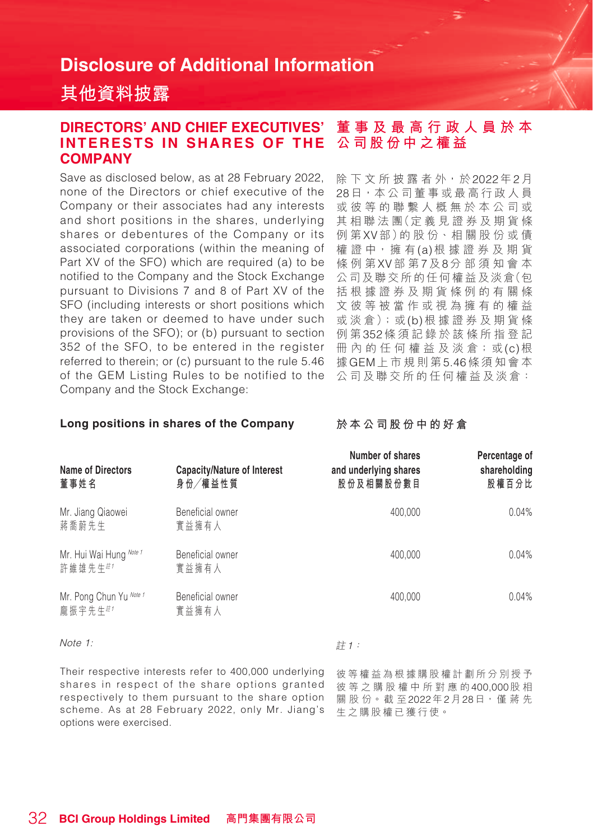## **其他資料披露**

#### **DIRECTORS' AND CHIEF EXECUTIVES' INTERESTS IN SHARES OF THE COMPANY 董事及最高行政人員於本 公司股份中之權益**

Save as disclosed below, as at 28 February 2022, none of the Directors or chief executive of the Company or their associates had any interests and short positions in the shares, underlying shares or debentures of the Company or its associated corporations (within the meaning of Part XV of the SFO) which are required (a) to be notified to the Company and the Stock Exchange pursuant to Divisions 7 and 8 of Part XV of the SFO (including interests or short positions which they are taken or deemed to have under such provisions of the SFO); or (b) pursuant to section 352 of the SFO, to be entered in the register referred to therein; or (c) pursuant to the rule 5.46 of the GEM Listing Rules to be notified to the Company and the Stock Exchange:

除下文所披露者外,於2022年2月 28日,本公司董事或最高行政人員 或彼等的聯繫人概無於本公司或 其 相 聯 法 團(定 義 見 證 券 及 期 貨 條 例 第XV部)的 股 份、相 關 股 份 或 債 權 證 中,擁 有(a)根據證券及期貨 條例第XV部 第7及8分部須知會本 公司及聯交所的任何權益及淡倉(包 括根據證券及期貨條例的有關條 文彼等被當作或視為擁有的權益 或 淡 倉);或(b)根 據 證 券 及 期 貨 條 例 第352條須記錄於該條所指登記 冊 內 的 任 何 權 益 及 淡 倉;或(c)根 據GEM上市規則第5.46條須知會本 公司及聯交所的任何權益及淡倉:

#### **Long positions in shares of the Company**

**於本公司股份中的好倉**

| <b>Name of Directors</b><br>董事姓名   | Capacity/Nature of Interest<br>身份/權益性質 | Number of shares<br>and underlying shares<br>股份及相關股份數目 | Percentage of<br>shareholding<br>股權百分比 |
|------------------------------------|----------------------------------------|--------------------------------------------------------|----------------------------------------|
| Mr. Jiang Qiaowei<br>蔣喬蔚先生         | Beneficial owner<br>實益擁有人              | 400,000                                                | 0.04%                                  |
| Mr. Hui Wai Hung Note 1<br>許維雄先生#1 | Beneficial owner<br>實益擁有人              | 400,000                                                | 0.04%                                  |
| Mr. Pong Chun Yu Note 1<br>龐振宇先生#1 | Beneficial owner<br>實益擁有人              | 400,000                                                | 0.04%                                  |

Note 1:

計1:

Their respective interests refer to 400,000 underlying shares in respect of the share options granted respectively to them pursuant to the share option scheme. As at 28 February 2022, only Mr. Jiang's options were exercised.

彼等權益為根據購股權計劃所分別授予 彼等之購股權中所對應的400,000股 相 關 股 份。截 至2022年2月28日, 僅 蔣 先 生之購股權已獲 行使。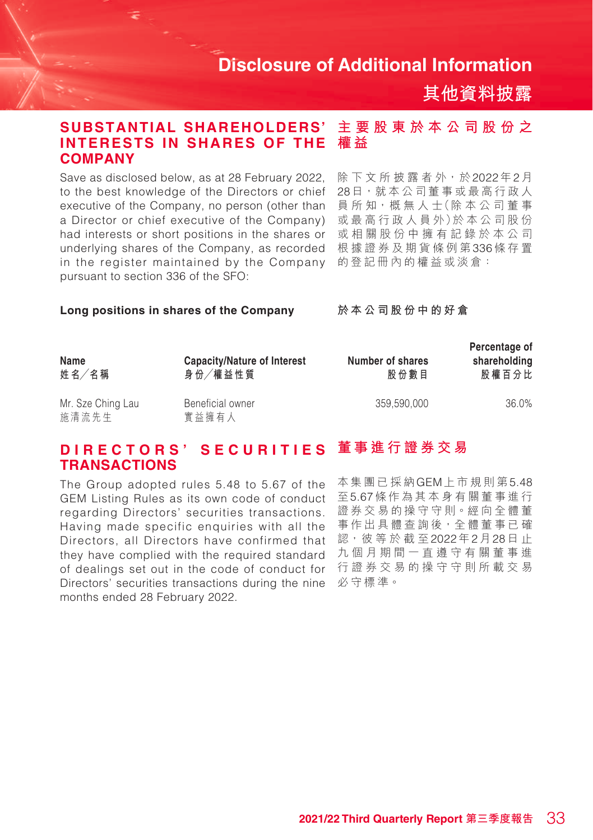**其他資料披露**

#### **主要股東於本公司股份之 權 益 SUBSTANTIAL SHAREHOLDERS' INTERESTS IN SHARES OF THE COMPANY**

Save as disclosed below, as at 28 February 2022, to the best knowledge of the Directors or chief executive of the Company, no person (other than a Director or chief executive of the Company) had interests or short positions in the shares or underlying shares of the Company, as recorded in the register maintained by the Company pursuant to section 336 of the SFO:

除下文所披露者外,於2022年2月 28日,就本公司董事或最高行政人 員 所 知,概 無 人 士(除 本 公 司 董 事 或 最 高 行 政 人 員 外)於 本 公 司 股 份 或相關股份中擁有記錄於本公司 根據證券及期貨條例第336條存置 的登記冊內的權益或淡倉:

#### **Long positions in shares of the Company**

**於本公司股份中的好倉**

| Name<br>姓名/名稱              | Capacity/Nature of Interest<br>身份/權益性質 | Number of shares<br>股份數目 | Percentage of<br>shareholding<br>股權百分比 |
|----------------------------|----------------------------------------|--------------------------|----------------------------------------|
| Mr. Sze Ching Lau<br>施清流先生 | Beneficial owner<br>實益擁有人              | 359.590.000              | 36.0%                                  |

## DIRECTORS'SECURITIES 董事進行證券交易 **TRANSACTIONS**

The Group adopted rules 5.48 to 5.67 of the GEM Listing Rules as its own code of conduct regarding Directors' securities transactions. Having made specific enquiries with all the Directors, all Directors have confirmed that they have complied with the required standard of dealings set out in the code of conduct for Directors' securities transactions during the nine months ended 28 February 2022.

本集團已採納GEM上市規則第5.48 至5.67條作為其本身有關董事進行 證券交易的操守守則。經向全體董 事作出具體查詢後,全體董事已確 認,彼 等 於 截 至2022年2月28日 止 九個月 期間一直遵守有關董事進 行證券交易的操守守則所載交易 必守標準。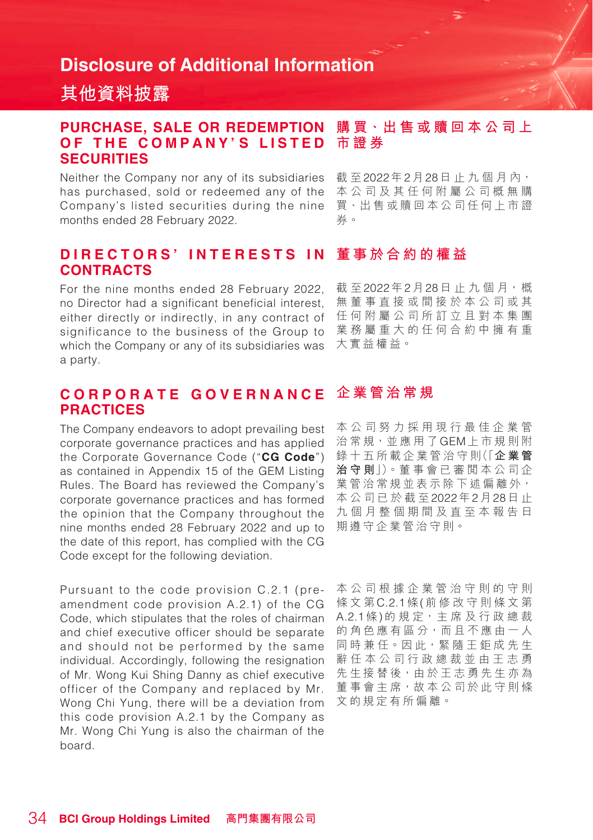## **其他資料披露**

#### **購 買、出 售 或 贖 回 本 公 司 上 OF THE COMPANY'S LISTED 市證券 PURCHASE, SALE OR REDEMPTION SECURITIES**

Neither the Company nor any of its subsidiaries has purchased, sold or redeemed any of the Company's listed securities during the nine months ended 28 February 2022.

載至2022年2月28日止九個月內, 本公司及其任何附屬公司概無購 買、出售或贖回本公司任何上市證 券。

#### **董事於合約的權益 D I R E C T O R S ' I N T E R E S T S I N CONTRACTS**

For the nine months ended 28 February 2022, no Director had a significant beneficial interest, either directly or indirectly, in any contract of significance to the business of the Group to which the Company or any of its subsidiaries was a party.

截至2022年2月28日止九個月,概 無董事直接或間接於本公司或其 任何附屬公司所訂立且對本集團 業務屬重大的任何合約中擁有重 大實益權益。

#### **企業管治常規 C O R P O R A T E G O V E R N A N C E PRACTICES**

The Company endeavors to adopt prevailing best corporate governance practices and has applied the Corporate Governance Code ("**CG Code**") as contained in Appendix 15 of the GEM Listing Rules. The Board has reviewed the Company's corporate governance practices and has formed the opinion that the Company throughout the nine months ended 28 February 2022 and up to the date of this report, has complied with the CG Code except for the following deviation.

Pursuant to the code provision C.2.1 (preamendment code provision A.2.1) of the CG Code, which stipulates that the roles of chairman and chief executive officer should be separate and should not be performed by the same individual. Accordingly, following the resignation of Mr. Wong Kui Shing Danny as chief executive officer of the Company and replaced by Mr. Wong Chi Yung, there will be a deviation from this code provision A.2.1 by the Company as Mr. Wong Chi Yung is also the chairman of the board.

本公司努力採用現行最佳企業管 治常規,並應用了GEM上市規則附 錄 十 五 所 載 企 業 管 治 守 則(「**企業管 治守則**」)。董 事 會 已 審 閱 本 公 司 企 業管治常規並表示除下述偏離外, 本公司已於截至2022年2月28日 止 九 個月整個期間及直至本報告日 期遵守企業管治守則。

本公司 根據企業管治守則的守則 條文第C.2.1條(前修改守則條文第 A.2.1條) 的 規 定, 主 席 及 行 政 總 裁 的角色應有區分,而且不應由一人 同時兼任。因此, 緊隨王鉅成先生 辭任本公司行政總裁並由王志勇 先生接替後,由於王志勇先生亦為 董事會主席,故本公司於此守則條 文 的 規定有所偏離。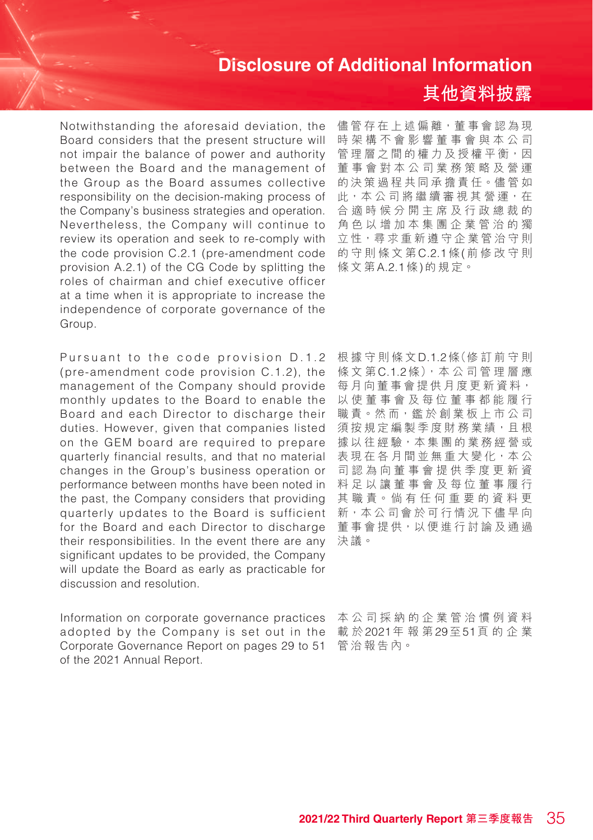Notwithstanding the aforesaid deviation, the Board considers that the present structure will not impair the balance of power and authority between the Board and the management of the Group as the Board assumes collective responsibility on the decision-making process of the Company's business strategies and operation. Nevertheless, the Company will continue to review its operation and seek to re-comply with the code provision C.2.1 (pre-amendment code provision A.2.1) of the CG Code by splitting the roles of chairman and chief executive officer at a time when it is appropriate to increase the independence of corporate governance of the Group.

their responsibilities. In the event there are any 決議。 Pursuant to the code provision D.1.2 (pre-amendment code provision  $C_1$ , 1.2), the management of the Company should provide monthly updates to the Board to enable the Board and each Director to discharge their duties. However, given that companies listed on the GEM board are required to prepare quarterly financial results, and that no material changes in the Group's business operation or performance between months have been noted in the past, the Company considers that providing quarterly updates to the Board is sufficient for the Board and each Director to discharge significant updates to be provided, the Company will update the Board as early as practicable for discussion and resolution.

Information on corporate governance practices 本公司採納的企業管治慣例資料 adopted by the Company is set out in the Corporate Governance Report on pages 29 to 51 of the 2021 Annual Report.

## **其他資料披露**

儘管存在上述偏離,董事會認為現 時架構不會影響董事會與本公司 管理層之間的權力及授權平衡,因 董事會對本公司業務策略及營運 的決策過程共同承擔責任。儘管如 此,本 公 司 將 繼 續 審 視 其 營 運,在 合適時候分開主席及行政總裁的 角色以增加本集團企業管治的獨 立性,尋求重新遵守企業管治守則 的守則條文第C.2.1條(前修改守則 條文第A.2.1條)的規定。

根據守則條文D.1.2條(修 訂 前 守 則 條文第C.1.2條),本 公 司 管 理 層 應 每月向董事會提供月度更新資料, 以使董事會及每位董事都能履行 職 青。然 而,鑑 於 創 業 板 上 市 公 司 須按規定編製季度財務業績,且根 據以往經驗,本集團的業務經營或 表現在各月間並無重大變化,本公 司認為向董事會提供季度更新資 料足以讓董事會及每位董事履行 其 職 責。倘 有 任 何 重 要 的 資 料 更 新,本公司會於可行情況下儘早向 董事會提供,以便進行討論及通過

載 於2021年報第29至51頁的企業 管治報告內。